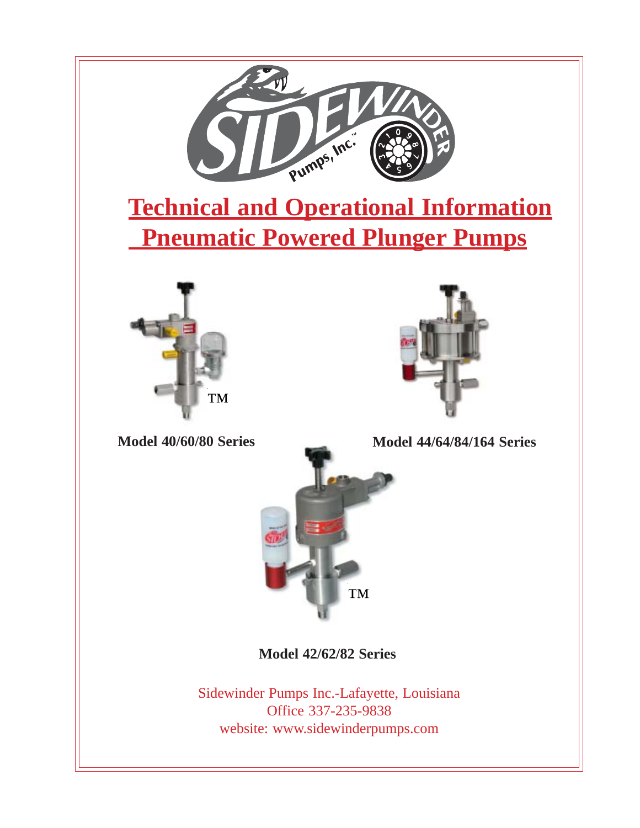

website: www.sidewinderpumps.com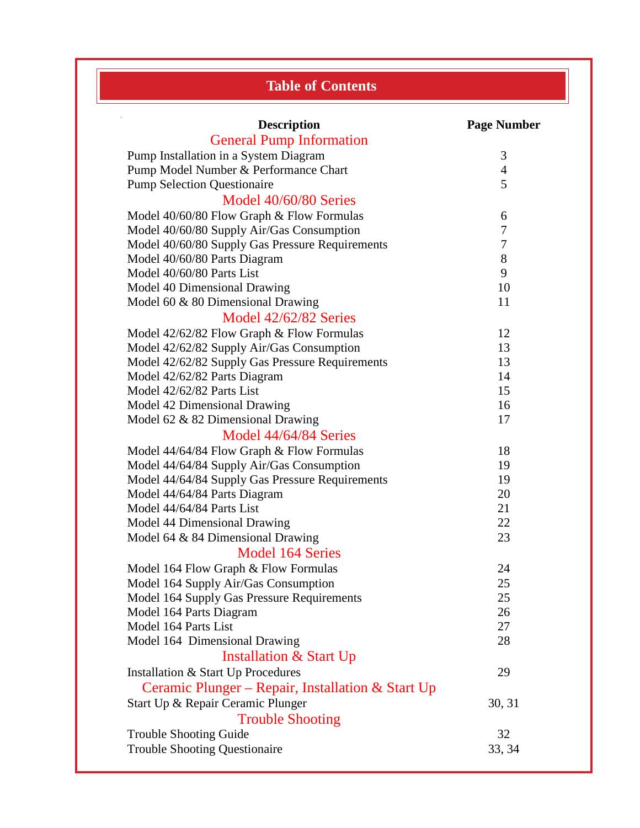|  | <b>Table of Contents</b> |
|--|--------------------------|
|  |                          |

| <b>Description</b>                                | <b>Page Number</b> |
|---------------------------------------------------|--------------------|
| <b>General Pump Information</b>                   |                    |
| Pump Installation in a System Diagram             | 3                  |
| Pump Model Number & Performance Chart             | $\overline{4}$     |
| <b>Pump Selection Questionaire</b>                | 5                  |
| Model 40/60/80 Series                             |                    |
| Model 40/60/80 Flow Graph & Flow Formulas         | 6                  |
| Model 40/60/80 Supply Air/Gas Consumption         | 7                  |
| Model 40/60/80 Supply Gas Pressure Requirements   | 7                  |
| Model 40/60/80 Parts Diagram                      | 8                  |
| Model 40/60/80 Parts List                         | 9                  |
| Model 40 Dimensional Drawing                      | 10                 |
| Model 60 & 80 Dimensional Drawing                 | 11                 |
| Model 42/62/82 Series                             |                    |
| Model 42/62/82 Flow Graph & Flow Formulas         | 12                 |
| Model 42/62/82 Supply Air/Gas Consumption         | 13                 |
| Model 42/62/82 Supply Gas Pressure Requirements   | 13                 |
| Model 42/62/82 Parts Diagram                      | 14                 |
| Model 42/62/82 Parts List                         | 15                 |
| Model 42 Dimensional Drawing                      | 16                 |
| Model 62 $&$ 82 Dimensional Drawing               | 17                 |
| Model 44/64/84 Series                             |                    |
| Model 44/64/84 Flow Graph & Flow Formulas         | 18                 |
| Model 44/64/84 Supply Air/Gas Consumption         | 19                 |
| Model 44/64/84 Supply Gas Pressure Requirements   | 19                 |
| Model 44/64/84 Parts Diagram                      | 20                 |
| Model 44/64/84 Parts List                         | 21                 |
| Model 44 Dimensional Drawing                      | 22                 |
| Model 64 & 84 Dimensional Drawing                 | 23                 |
| <b>Model 164 Series</b>                           |                    |
| Model 164 Flow Graph & Flow Formulas              | 24                 |
| Model 164 Supply Air/Gas Consumption              | 25                 |
| Model 164 Supply Gas Pressure Requirements        | 25                 |
| Model 164 Parts Diagram                           | 26                 |
| Model 164 Parts List                              | 27                 |
| Model 164 Dimensional Drawing                     | 28                 |
| <b>Installation &amp; Start Up</b>                |                    |
| Installation & Start Up Procedures                | 29                 |
|                                                   |                    |
| Ceramic Plunger – Repair, Installation & Start Up |                    |
| Start Up & Repair Ceramic Plunger                 | 30, 31             |
| <b>Trouble Shooting</b>                           |                    |
| <b>Trouble Shooting Guide</b>                     | 32                 |
| <b>Trouble Shooting Questionaire</b>              | 33, 34             |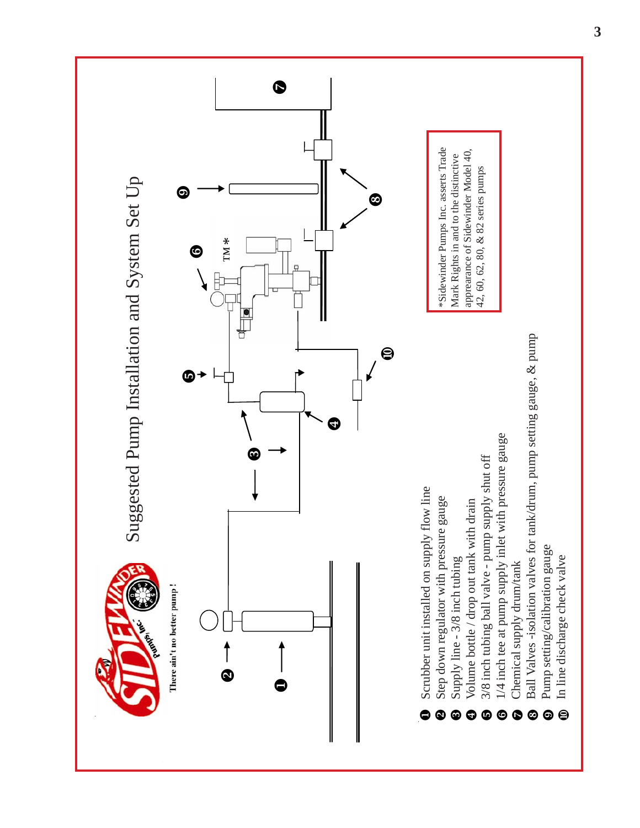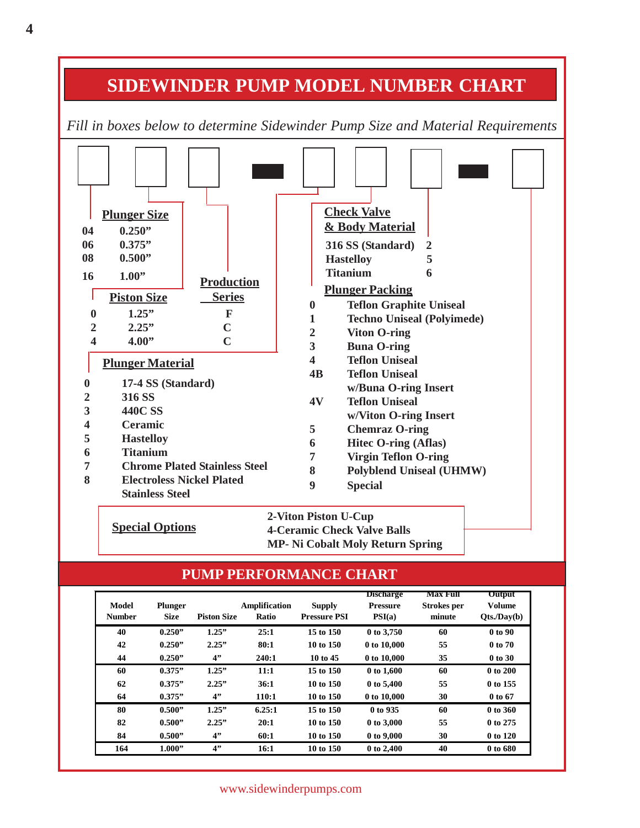## **SIDEWINDER PUMP MODEL NUMBER CHART**

*FFill in boxes below to determine Sidewinder Pump Size and Material Requirements*



**Special Options 2-Viton Piston U-Cup 4-Ceramic Check Valve Balls MP- Ni Cobalt Moly Return Spring**

#### **PUMP PERFORMANCE CHART**

| <b>Model</b><br><b>Number</b> | <b>Plunger</b><br><b>Size</b> | <b>Piston Size</b> | Amplification<br><b>Ratio</b> | <b>Supply</b><br><b>Pressure PSI</b> | <b>Discharge</b><br><b>Pressure</b><br>PSI(a) | Max Full<br><b>Strokes</b> per<br>minute | <b>Output</b><br><b>Volume</b><br>Qts./Day(b) |
|-------------------------------|-------------------------------|--------------------|-------------------------------|--------------------------------------|-----------------------------------------------|------------------------------------------|-----------------------------------------------|
| 40                            | 0.250"                        | 1.25"              | 25:1                          | 15 to 150                            | 0 to 3,750                                    | 60                                       | 0 to 90                                       |
| 42                            | 0.250"                        | 2.25"              | 80:1                          | 10 to 150                            | 0 to 10,000                                   | 55                                       | 0 to 70                                       |
| 44                            | 0.250"                        | 4"                 | 240:1                         | 10 to 45                             | 0 to 10,000                                   | 35                                       | 0 to 30                                       |
| 60                            | 0.375"                        | 1.25"              | 11:1                          | 15 to 150                            | 0 to 1,600                                    | 60                                       | 0 to 200                                      |
| 62                            | 0.375"                        | 2.25"              | 36:1                          | 10 to 150                            | $0 \text{ to } 5,400$                         | 55                                       | 0 to 155                                      |
| 64                            | 0.375"                        | 4"                 | 110:1                         | 10 to 150                            | 0 to 10,000                                   | 30                                       | 0 to 67                                       |
| 80                            | 0.500"                        | 1.25"              | 6.25:1                        | 15 to 150                            | 0 to 935                                      | 60                                       | $0$ to 360                                    |
| 82                            | 0.500"                        | 2.25"              | 20:1                          | 10 to 150                            | 0 to 3,000                                    | 55                                       | 0 to 275                                      |
| 84                            | 0.500"                        | 4"                 | 60:1                          | 10 to 150                            | 0 to 9,000                                    | 30                                       | 0 to 120                                      |
| 164                           | 1.000"                        | 4"                 | 16:1                          | 10 to 150                            | 0 to 2,400                                    | 40                                       | 0 to 680                                      |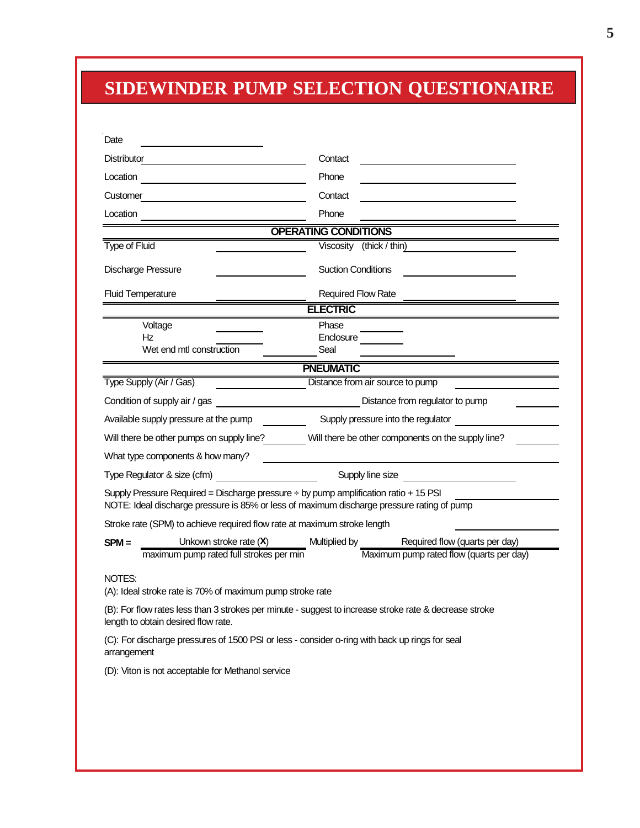# **SIDEWINDER PUMP SELECTION QUESTIONAIRE**

| Date                                                                                                                                          |                                                                                              |
|-----------------------------------------------------------------------------------------------------------------------------------------------|----------------------------------------------------------------------------------------------|
| Distributor <b>Distributor</b>                                                                                                                | Contact                                                                                      |
| Location                                                                                                                                      | Phone                                                                                        |
| Customer <u>experience</u>                                                                                                                    | Contact                                                                                      |
|                                                                                                                                               | Phone                                                                                        |
|                                                                                                                                               | <b>OPERATING CONDITIONS</b>                                                                  |
| <b>Type of Fluid</b>                                                                                                                          | Viscosity (thick / thin)                                                                     |
| <b>Discharge Pressure</b>                                                                                                                     | <b>Suction Conditions</b>                                                                    |
| <b>Fluid Temperature</b>                                                                                                                      | <b>Required Flow Rate</b>                                                                    |
|                                                                                                                                               | <b>ELECTRIC</b>                                                                              |
| Voltage                                                                                                                                       | Phase                                                                                        |
| Ηz<br>Wet end mtl construction                                                                                                                | Enclosure<br>Seal                                                                            |
|                                                                                                                                               | <b>PNEUMATIC</b>                                                                             |
| Type Supply (Air / Gas)                                                                                                                       | Distance from air source to pump                                                             |
| Condition of supply air / gas                                                                                                                 | Distance from regulator to pump                                                              |
| Available supply pressure at the pump                                                                                                         | Supply pressure into the regulator                                                           |
|                                                                                                                                               | Will there be other pumps on supply line? Will there be other components on the supply line? |
| What type components & how many?                                                                                                              |                                                                                              |
|                                                                                                                                               | Supply line size<br><u> 1980 - Johann Barbara, martxa a</u>                                  |
| Supply Pressure Required = Discharge pressure $\div$ by pump amplification ratio + 15 PSI                                                     |                                                                                              |
| NOTE: Ideal discharge pressure is 85% or less of maximum discharge pressure rating of pump                                                    |                                                                                              |
| Stroke rate (SPM) to achieve required flow rate at maximum stroke length                                                                      |                                                                                              |
| Unkown stroke rate $(X)$<br>$SPM =$                                                                                                           | <b>Multiplied by</b><br>Required flow (quarts per day)                                       |
| maximum pump rated full strokes per min                                                                                                       | Maximum pump rated flow (quarts per day)                                                     |
| NOTES:<br>(A): Ideal stroke rate is 70% of maximum pump stroke rate                                                                           |                                                                                              |
| (B): For flow rates less than 3 strokes per minute - suggest to increase stroke rate & decrease stroke<br>length to obtain desired flow rate. |                                                                                              |
| (C): For discharge pressures of 1500 PSI or less - consider o-ring with back up rings for seal<br>arrangement                                 |                                                                                              |
| (D): Viton is not acceptable for Methanol service                                                                                             |                                                                                              |
|                                                                                                                                               |                                                                                              |
|                                                                                                                                               |                                                                                              |
|                                                                                                                                               |                                                                                              |
|                                                                                                                                               |                                                                                              |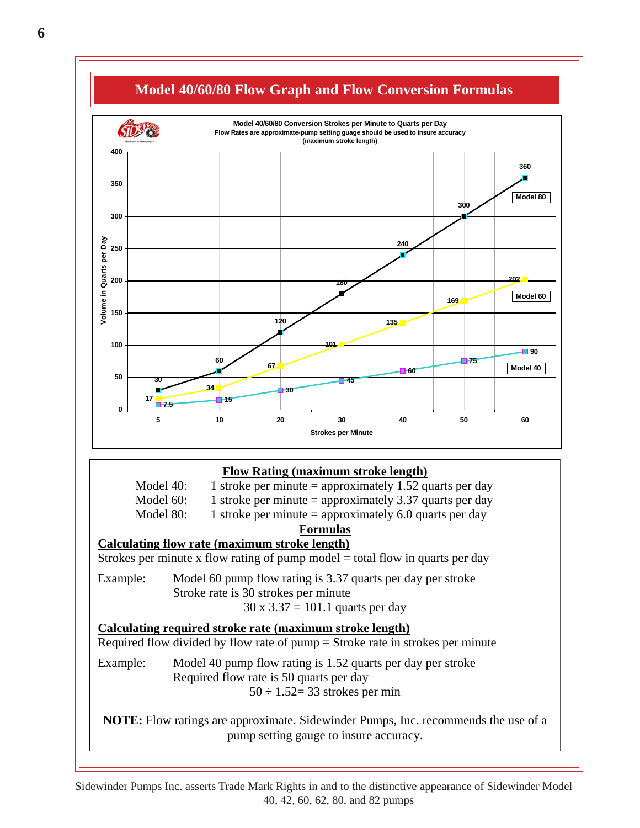

Sidewinder Pumps Inc. asserts Trade Mark Rights in and to the distinctive appearance of Sidewinder Model 40, 42, 60, 62, 80, and 82 pumps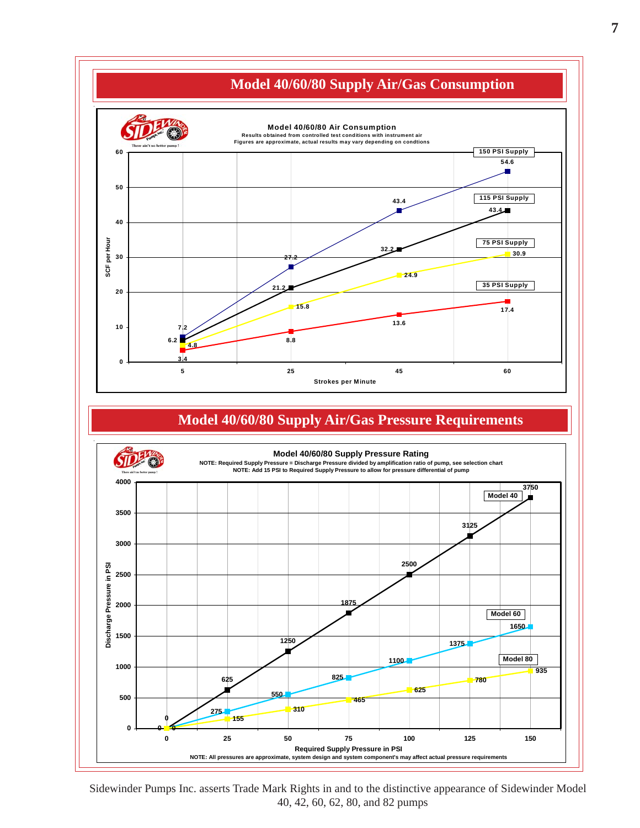

Sidewinder Pumps Inc. asserts Trade Mark Rights in and to the distinctive appearance of Sidewinder Model 40, 42, 60, 62, 80, and 82 pumps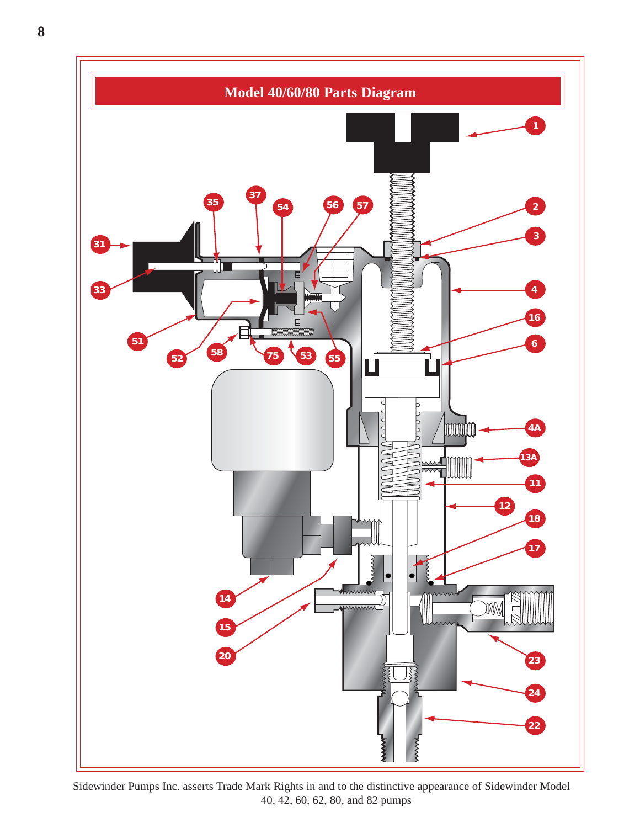

Sidewinder Pumps Inc. asserts Trade Mark Rights in and to the distinctive appearance of Sidewinder Model 40, 42, 60, 62, 80, and 82 pumps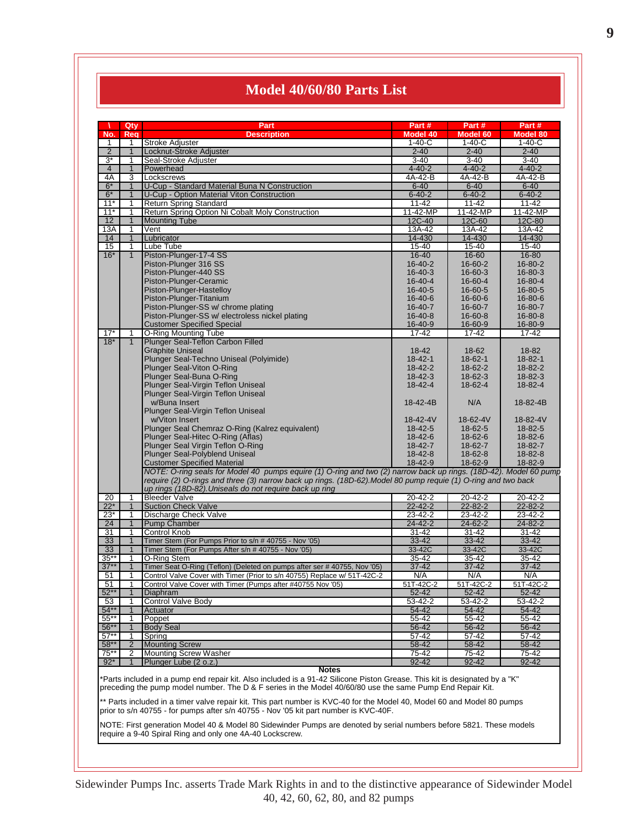### **Model 40/60/80 Parts List**

| No.             | Qty                            | Part                                                                                                                                                                            | Part #                   | Part#                    | Part#                    |
|-----------------|--------------------------------|---------------------------------------------------------------------------------------------------------------------------------------------------------------------------------|--------------------------|--------------------------|--------------------------|
|                 | Reg                            | <b>Description</b>                                                                                                                                                              | Model 40                 | Model 60                 | <b>Model 80</b>          |
| $\mathbf{1}$    | $\mathbf{1}$                   | Stroke Adjuster                                                                                                                                                                 | $1 - 40 - C$             | $1 - 40 - C$             | $1 - 40 - C$             |
| $\overline{2}$  | $\mathbf{1}$                   | Locknut-Stroke Adjuster                                                                                                                                                         | $2 - 40$                 | $2 - 40$                 | $2 - 40$                 |
| $3^*$           | 1                              | Seal-Stroke Adjuster                                                                                                                                                            | $3 - 40$                 | $3 - 40$                 | $3 - 40$                 |
| $\overline{4}$  | $\overline{1}$                 | Powerhead                                                                                                                                                                       | $4 - 40 - 2$             | $4 - 40 - 2$             | $4 - 40 - 2$             |
| 4A<br>$6*$      | 3                              | Lockscrews<br>U-Cup - Standard Material Buna N Construction                                                                                                                     | 4A-42-B                  | 4A-42-B                  | 4A-42-B                  |
| $6*$            | $\mathbf{1}$<br>$\overline{1}$ | U-Cup - Option Material Viton Construction                                                                                                                                      | $6 - 40$<br>$6 - 40 - 2$ | $6 - 40$<br>$6 - 40 - 2$ | $6 - 40$<br>$6 - 40 - 2$ |
| $11*$           | $\mathbf{1}$                   | Return Spring Standard                                                                                                                                                          | $11 - 42$                | $11 - 42$                | $11 - 42$                |
| $11*$           | $\mathbf 1$                    | Return Spring Option Ni Cobalt Moly Construction                                                                                                                                | 11-42-MP                 | 11-42-MP                 | 11-42-MP                 |
| 12              | $\mathbf{1}$                   | <b>Mounting Tube</b>                                                                                                                                                            | 12C-40                   | 12C-60                   | 12C-80                   |
| 13A             | 1                              | Vent                                                                                                                                                                            | 13A-42                   | 13A-42                   | 13A-42                   |
| 14              | $\overline{1}$                 | Lubricator                                                                                                                                                                      | 14-430                   | 14-430                   | 14-430                   |
| 15              | $\mathbf{1}$                   | Lube Tube                                                                                                                                                                       | $15 - 40$                | $15 - 40$                | 15-40                    |
| $16*$           | $\mathbf{1}$                   | Piston-Plunger-17-4 SS                                                                                                                                                          | $16 - 40$                | 16-60                    | 16-80                    |
|                 |                                | Piston-Plunger 316 SS                                                                                                                                                           | $16 - 40 - 2$            | 16-60-2                  | 16-80-2                  |
|                 |                                | Piston-Plunger-440 SS                                                                                                                                                           | $16 - 40 - 3$            | $16 - 60 - 3$            | $16 - 80 - 3$            |
|                 |                                | Piston-Plunger-Ceramic                                                                                                                                                          | $16 - 40 - 4$            | 16-60-4                  | 16-80-4                  |
|                 |                                | Piston-Plunger-Hastelloy                                                                                                                                                        | $16 - 40 - 5$            | 16-60-5                  | 16-80-5                  |
|                 |                                | Piston-Plunger-Titanium                                                                                                                                                         | $16 - 40 - 6$            | 16-60-6                  | 16-80-6                  |
|                 |                                | Piston-Plunger-SS w/ chrome plating                                                                                                                                             | $16 - 40 - 7$            | 16-60-7                  | 16-80-7                  |
|                 |                                | Piston-Plunger-SS w/ electroless nickel plating                                                                                                                                 | $16 - 40 - 8$            | $16 - 60 - 8$            | $16 - 80 - 8$            |
|                 |                                | <b>Customer Specified Special</b>                                                                                                                                               | $16 - 40 - 9$            | 16-60-9                  | 16-80-9                  |
| $17*$           | 1                              | O-Ring Mounting Tube                                                                                                                                                            | $17 - 42$                | 17-42                    | 17-42                    |
| $18*$           | $\mathbf{1}$                   | Plunger Seal-Teflon Carbon Filled                                                                                                                                               |                          |                          |                          |
|                 |                                | <b>Graphite Uniseal</b>                                                                                                                                                         | $18 - 42$                | 18-62                    | 18-82                    |
|                 |                                | Plunger Seal-Techno Uniseal (Polyimide)                                                                                                                                         | $18 - 42 - 1$            | $18 - 62 - 1$            | $18 - 82 - 1$            |
|                 |                                | Plunger Seal-Viton O-Ring                                                                                                                                                       | $18 - 42 - 2$            | 18-62-2                  | 18-82-2                  |
|                 |                                | Plunger Seal-Buna O-Ring                                                                                                                                                        | $18 - 42 - 3$            | $18-62-3$                | 18-82-3                  |
|                 |                                | Plunger Seal-Virgin Teflon Uniseal                                                                                                                                              | $18 - 42 - 4$            | 18-62-4                  | 18-82-4                  |
|                 |                                | Plunger Seal-Virgin Teflon Uniseal                                                                                                                                              |                          |                          |                          |
|                 |                                | w/Buna Insert                                                                                                                                                                   | 18-42-4B                 | N/A                      | 18-82-4B                 |
|                 |                                | Plunger Seal-Virgin Teflon Uniseal                                                                                                                                              |                          |                          |                          |
|                 |                                | w/Viton Insert                                                                                                                                                                  | 18-42-4V                 | 18-62-4V                 | 18-82-4V                 |
|                 |                                | Plunger Seal Chemraz O-Ring (Kalrez equivalent)<br>Plunger Seal-Hitec O-Ring (Aflas)                                                                                            | $18 - 42 - 5$<br>18-42-6 | $18 - 62 - 5$<br>18-62-6 | 18-82-5<br>18-82-6       |
|                 |                                | Plunger Seal Virgin Teflon O-Ring                                                                                                                                               | 18-42-7                  | 18-62-7                  | 18-82-7                  |
|                 |                                | <b>Plunger Seal-Polyblend Uniseal</b>                                                                                                                                           | $18 - 42 - 8$            | $18-62-8$                | 18-82-8                  |
|                 |                                | <b>Customer Specified Material</b>                                                                                                                                              | 18-42-9                  | 18-62-9                  | 18-82-9                  |
|                 |                                | NOTE: O-ring seals for Model 40 pumps equire (1) O-ring and two (2) narrow back up rings. (18D-42). Model 60 pump                                                               |                          |                          |                          |
|                 |                                | require (2) O-rings and three (3) narrow back up rings. (18D-62). Model 80 pump requie (1) O-ring and two back                                                                  |                          |                          |                          |
|                 |                                | up rings (18D-82). Uniseals do not require back up ring                                                                                                                         |                          |                          |                          |
|                 |                                | <b>Bleeder Valve</b>                                                                                                                                                            | $20 - 42 - 2$            | $20 - 42 - 2$            | 20-42-2                  |
|                 |                                |                                                                                                                                                                                 |                          |                          |                          |
| 20<br>$22*$     | $\mathbf 1$<br>$\mathbf{1}$    |                                                                                                                                                                                 | $22 - 42 - 2$            | $22 - 82 - 2$            | $22 - 82 - 2$            |
| $23*$           | $\mathbf 1$                    | <b>Suction Check Valve</b>                                                                                                                                                      | 23-42-2                  | 23-42-2                  | $23 - 42 - 2$            |
| 24              | $\mathbf{1}$                   | Discharge Check Valve<br><b>Pump Chamber</b>                                                                                                                                    | $24 - 42 - 2$            | 24-62-2                  | $24 - 82 - 2$            |
| $\overline{31}$ | $\mathbf 1$                    | <b>Control Knob</b>                                                                                                                                                             | $31 - 42$                | 31-42                    | $31 - 42$                |
| 33              | $\mathbf{1}$                   | Timer Stem (For Pumps Prior to s/n # 40755 - Nov '05)                                                                                                                           | 33-42                    | $33 - 42$                | 33-42                    |
| 33              | $\mathbf{1}$                   | Timer Stem (For Pumps After s/n # 40755 - Nov '05)                                                                                                                              | 33-42C                   | 33-42C                   | 33-42C                   |
| $35***$         | $\mathbf 1$                    | O-Ring Stem                                                                                                                                                                     | 35-42                    | 35-42                    | $35 - 42$                |
| $37$ *          | $\overline{1}$                 | Timer Seat O-Ring (Teflon) (Deleted on pumps after ser #40755, Nov '05)                                                                                                         | $37 - 42$                | $37 - 42$                | $37 - 42$                |
| 51              | $\mathbf 1$                    | Control Valve Cover with Timer (Prior to s/n 40755) Replace w/ 51T-42C-2                                                                                                        | N/A                      | N/A                      | N/A                      |
| 51              | 1                              | Control Valve Cover with Timer (Pumps after #40755 Nov '05)                                                                                                                     | 51T-42C-2                | 51T-42C-2                | 51T-42C-2                |
|                 | $\mathbf 1$                    | Diaphram                                                                                                                                                                        | 52-42                    | 52-42                    | 52-42                    |
| $52**$<br>53    | 1                              | <b>Control Valve Body</b>                                                                                                                                                       | 53-42-2                  | 53-42-2                  | 53-42-2                  |
| $54**$          | 1                              | Actuator                                                                                                                                                                        | 54-42                    | 54-42                    | 54-42                    |
| $55^{**}$       | 1                              | Poppet                                                                                                                                                                          | 55-42                    | 55-42                    | 55-42                    |
| $56***$         | 1                              | Body Seal                                                                                                                                                                       | 56-42                    | 56-42                    | 56-42                    |
| $57**$          | 1                              | Spring                                                                                                                                                                          | 57-42                    | 57-42                    | 57-42                    |
| $58**$          | $\overline{2}$                 | <b>Mounting Screw</b>                                                                                                                                                           | 58-42                    | 58-42                    | 58-42                    |
| 75**            | 2                              | <b>Mounting Screw Washer</b>                                                                                                                                                    | 75-42                    | 75-42                    | $75-42$                  |
| $92*$           |                                | Plunger Lube (2 o.z.)                                                                                                                                                           | 92-42                    | 92-42                    | 92-42                    |
|                 |                                | Notes                                                                                                                                                                           |                          |                          |                          |
|                 |                                | *Parts included in a pump end repair kit. Also included is a 91-42 Silicone Piston Grease. This kit is designated by a "K"                                                      |                          |                          |                          |
|                 |                                | preceding the pump model number. The D & F series in the Model 40/60/80 use the same Pump End Repair Kit.                                                                       |                          |                          |                          |
|                 |                                | ** Parts included in a timer valve repair kit. This part number is KVC-40 for the Model 40, Model 60 and Model 80 pumps                                                         |                          |                          |                          |
|                 |                                | prior to s/n 40755 - for pumps after s/n 40755 - Nov '05 kit part number is KVC-40F.                                                                                            |                          |                          |                          |
|                 |                                |                                                                                                                                                                                 |                          |                          |                          |
|                 |                                | NOTE: First generation Model 40 & Model 80 Sidewinder Pumps are denoted by serial numbers before 5821. These models<br>require a 9-40 Spiral Ring and only one 4A-40 Lockscrew. |                          |                          |                          |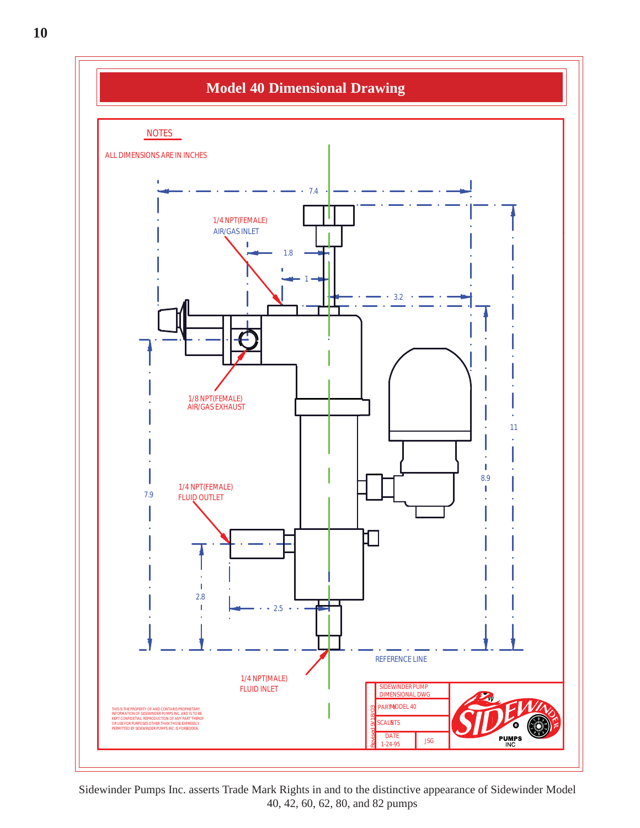![](_page_9_Figure_0.jpeg)

Sidewinder Pumps Inc. asserts Trade Mark Rights in and to the distinctive appearance of Sidewinder Model 40, 42, 60, 62, 80, and 82 pumps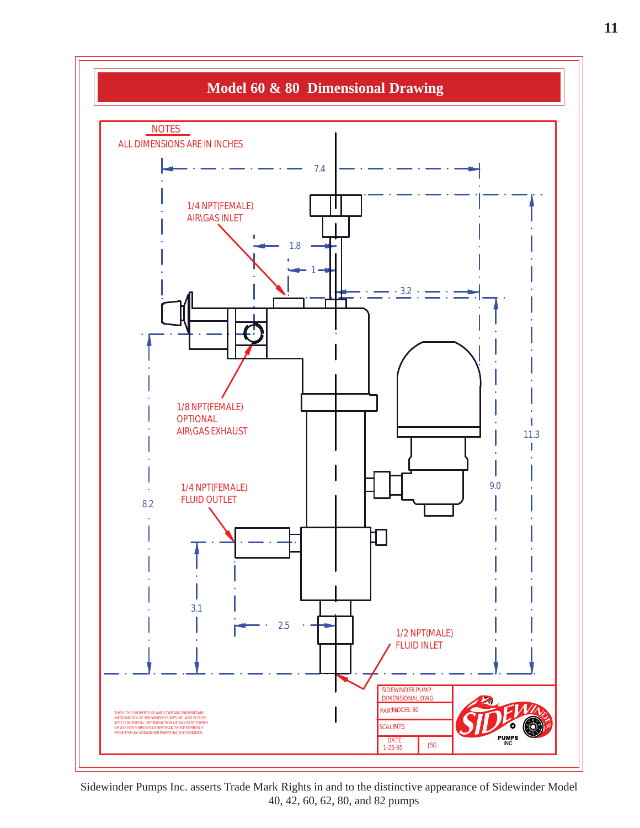![](_page_10_Figure_0.jpeg)

Sidewinder Pumps Inc. asserts Trade Mark Rights in and to the distinctive appearance of Sidewinder Model 40, 42, 60, 62, 80, and 82 pumps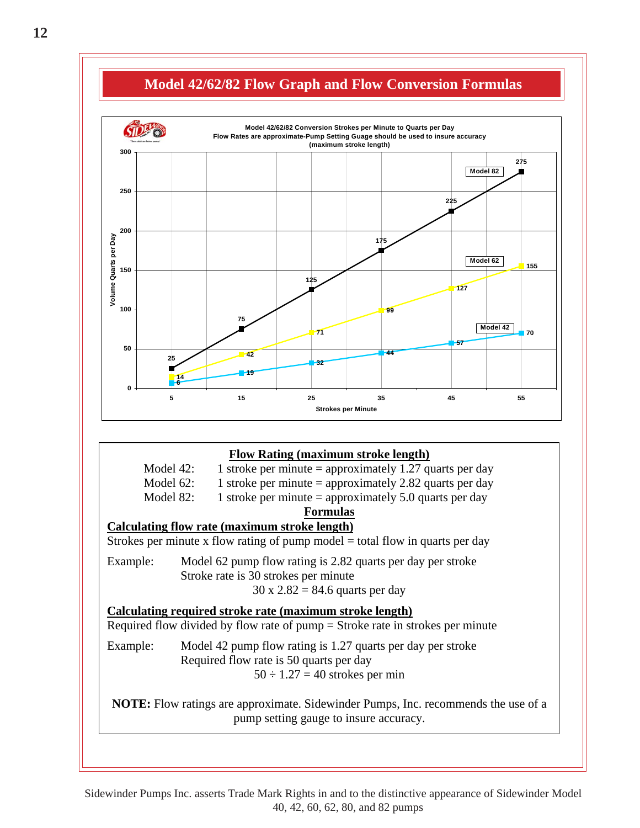![](_page_11_Figure_0.jpeg)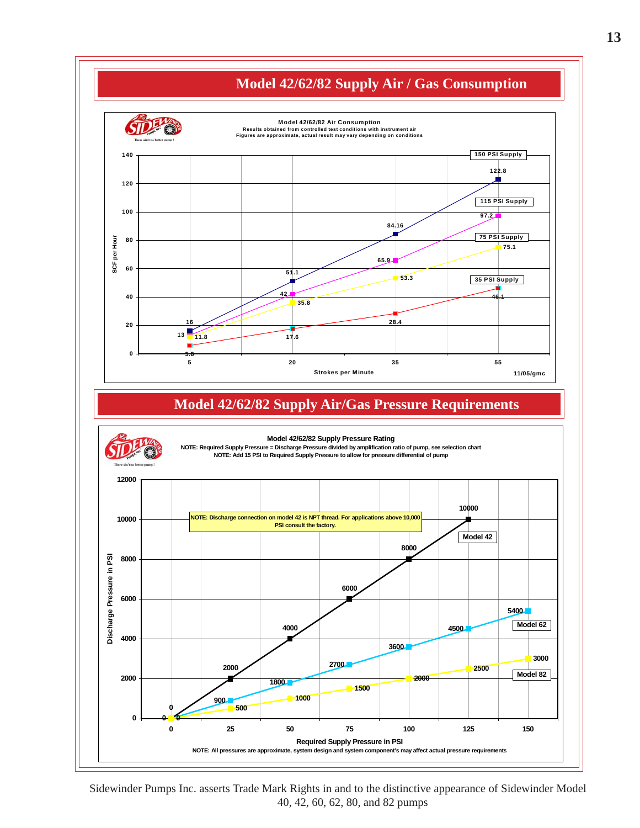![](_page_12_Figure_0.jpeg)

Sidewinder Pumps Inc. asserts Trade Mark Rights in and to the distinctive appearance of Sidewinder Model 40, 42, 60, 62, 80, and 82 pumps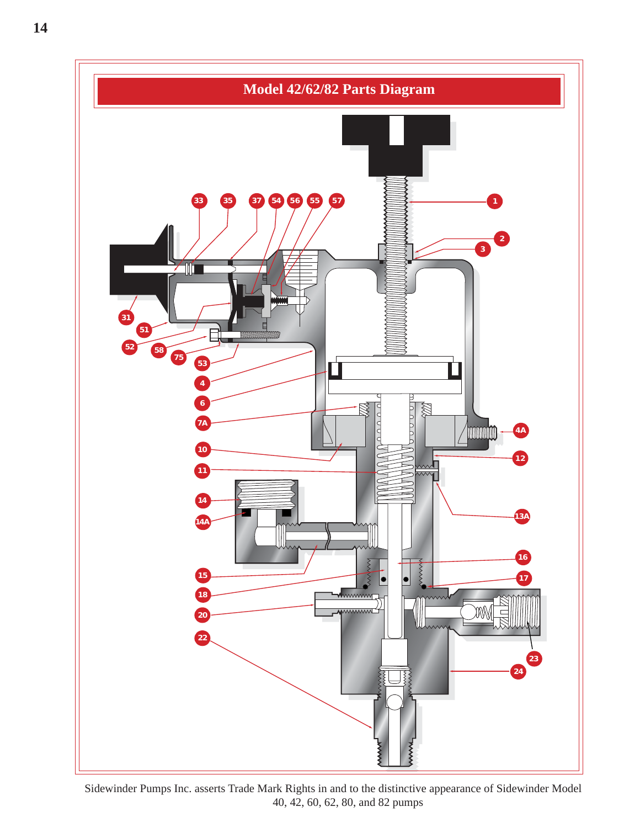![](_page_13_Figure_0.jpeg)

Sidewinder Pumps Inc. asserts Trade Mark Rights in and to the distinctive appearance of Sidewinder Model 40, 42, 60, 62, 80, and 82 pumps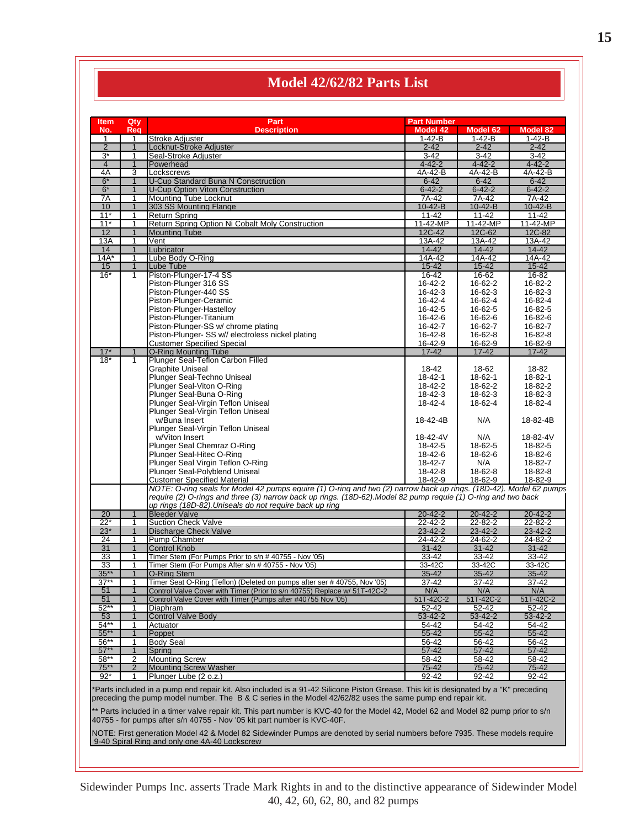### **Model 42/62/82 Parts List**

| ltem                    | Qty               | Part                                                                                                                                                                                                                                               | <b>Part Number</b>       |                            |                        |
|-------------------------|-------------------|----------------------------------------------------------------------------------------------------------------------------------------------------------------------------------------------------------------------------------------------------|--------------------------|----------------------------|------------------------|
| No.                     | Req               | <b>Description</b>                                                                                                                                                                                                                                 | <b>Model 42</b>          | Model 62                   | <b>Model 82</b>        |
| $\mathbf{1}$            | $\mathbf{1}$      | <b>Stroke Adiuster</b>                                                                                                                                                                                                                             | $1 - 42 - B$             | $1 - 42 - B$               | $1 - 42 - B$           |
| $\overline{2}$          | $\mathbf{1}$      | Locknut-Stroke Adjuster                                                                                                                                                                                                                            | $2 - 42$                 | $2 - 42$                   | $2 - 42$               |
| $3^*$<br>$\overline{4}$ | 1<br>$\mathbf{1}$ | Seal-Stroke Adjuster<br>Powerhead                                                                                                                                                                                                                  | $3-42$<br>$4 - 42 - 2$   | $3 - 42$<br>$4 - 42 - 2$   | 3-42<br>$4 - 42 - 2$   |
| 4A                      | 3                 | Lockscrews                                                                                                                                                                                                                                         | 4A-42-B                  | 4A-42-B                    | 4A-42-B                |
| $6*$                    | $\mathbf{1}$      | <b>U-Cup Standard Buna N Consctruction</b>                                                                                                                                                                                                         | $6 - 42$                 | $6 - 42$                   | $6 - 42$               |
| $6*$                    | $\mathbf{1}$      | <b>U-Cup Option Viton Construction</b>                                                                                                                                                                                                             | $6 - 42 - 2$             | $6 - 42 - 2$               | $6 - 42 - 2$           |
| 7A                      | 1                 | <b>Mounting Tube Locknut</b>                                                                                                                                                                                                                       | 7A-42                    | 7A-42                      | $7A-42$                |
| 10<br>$11*$             | $\mathbf{1}$<br>1 | 303 SS Mounting Flange<br><b>Return Spring</b>                                                                                                                                                                                                     | $10-42 - B$<br>$11 - 42$ | $10 - 42 - B$<br>$11 - 42$ | $10 - 42 - B$<br>11-42 |
| $11*$                   | 1                 | Return Spring Option Ni Cobalt Moly Construction                                                                                                                                                                                                   | 11-42-MP                 | 11-42-MP                   | 11-42-MP               |
| 12                      | $\overline{1}$    | <b>Mounting Tube</b>                                                                                                                                                                                                                               | 12C-42                   | 12C-62                     | 12C-82                 |
| 13A                     | 1                 | Vent                                                                                                                                                                                                                                               | 13A-42                   | 13A-42                     | 13A-42                 |
| 14                      | $\mathbf{1}$      | Lubricator                                                                                                                                                                                                                                         | $14 - 42$                | $14 - 42$                  | $14 - 42$              |
| $14A*$<br>15            | 1<br>$\mathbf{1}$ | Lube Body O-Ring<br>Lube Tube                                                                                                                                                                                                                      | 14A-42<br>$15 - 42$      | 14A-42<br>$15 - 42$        | 14A-42<br>$15 - 42$    |
| $16*$                   | 1                 | Piston-Plunger-17-4 SS                                                                                                                                                                                                                             | 16-42                    | 16-62                      | 16-82                  |
|                         |                   | Piston-Plunger 316 SS                                                                                                                                                                                                                              | 16-42-2                  | 16-62-2                    | 16-82-2                |
|                         |                   | Piston-Plunger-440 SS                                                                                                                                                                                                                              | 16-42-3                  | 16-62-3                    | 16-82-3                |
|                         |                   | Piston-Plunger-Ceramic                                                                                                                                                                                                                             | 16-42-4                  | 16-62-4                    | 16-82-4                |
|                         |                   | Piston-Plunger-Hastelloy<br>Piston-Plunger-Titanium                                                                                                                                                                                                | 16-42-5<br>16-42-6       | 16-62-5<br>16-62-6         | 16-82-5<br>16-82-6     |
|                         |                   | Piston-Plunger-SS w/ chrome plating                                                                                                                                                                                                                | 16-42-7                  | 16-62-7                    | 16-82-7                |
|                         |                   | Piston-Plunger- SS w// electroless nickel plating                                                                                                                                                                                                  | 16-42-8                  | 16-62-8                    | 16-82-8                |
|                         |                   | <b>Customer Specified Special</b>                                                                                                                                                                                                                  | 16-42-9                  | 16-62-9                    | 16-82-9                |
| $17*$                   | $\mathbf{1}$      | <b>O-Ring Mounting Tube</b>                                                                                                                                                                                                                        | $17 - 42$                | $17 - 42$                  | $17 - 42$              |
| $18*$                   | $\mathbf{1}$      | Plunger Seal-Teflon Carbon Filled                                                                                                                                                                                                                  |                          |                            |                        |
|                         |                   | Graphite Uniseal<br>Plunger Seal-Techno Uniseal                                                                                                                                                                                                    | 18-42<br>$18 - 42 - 1$   | 18-62<br>18-62-1           | 18-82<br>18-82-1       |
|                         |                   | Plunger Seal-Viton O-Ring                                                                                                                                                                                                                          | 18-42-2                  | 18-62-2                    | 18-82-2                |
|                         |                   | Plunger Seal-Buna O-Ring                                                                                                                                                                                                                           | $18 - 42 - 3$            | $18 - 62 - 3$              | 18-82-3                |
|                         |                   | Plunger Seal-Virgin Teflon Uniseal                                                                                                                                                                                                                 | 18-42-4                  | 18-62-4                    | 18-82-4                |
|                         |                   | Plunger Seal-Virgin Teflon Uniseal                                                                                                                                                                                                                 |                          |                            |                        |
|                         |                   | w/Buna Insert                                                                                                                                                                                                                                      | 18-42-4B                 | N/A                        | 18-82-4B               |
|                         |                   | Plunger Seal-Virgin Teflon Uniseal                                                                                                                                                                                                                 |                          |                            |                        |
|                         |                   | w/Viton Insert<br>Plunger Seal Chemraz O-Ring                                                                                                                                                                                                      | 18-42-4V<br>18-42-5      | N/A<br>18-62-5             | 18-82-4V<br>18-82-5    |
|                         |                   | Plunger Seal-Hitec O-Ring                                                                                                                                                                                                                          | 18-42-6                  | 18-62-6                    | 18-82-6                |
|                         |                   | Plunger Seal Virgin Teflon O-Ring                                                                                                                                                                                                                  | 18-42-7                  | N/A                        | 18-82-7                |
|                         |                   | Plunger Seal-Polyblend Uniseal                                                                                                                                                                                                                     | 18-42-8                  | $18-62-8$                  | 18-82-8                |
|                         |                   | <b>Customer Specified Material</b>                                                                                                                                                                                                                 | 18-42-9                  | 18-62-9                    | 18-82-9                |
|                         |                   | NOTE: O-ring seals for Model 42 pumps equire (1) O-ring and two (2) narrow back up rings. (18D-42). Model 62 pumps<br>require (2) O-rings and three (3) narrow back up rings. (18D-62) Model 82 pump requie (1) O-ring and two back                |                          |                            |                        |
|                         |                   | up rings (18D-82). Uniseals do not require back up ring                                                                                                                                                                                            |                          |                            |                        |
| 20                      | $\overline{1}$    | <b>Bleeder Valve</b>                                                                                                                                                                                                                               | $20 - 42 - 2$            | $20 - 42 - 2$              | $20 - 42 - 2$          |
| $22*$                   | 1                 | <b>Suction Check Valve</b>                                                                                                                                                                                                                         | $22 - 42 - 2$            | $22 - 82 - 2$              | $22 - 82 - 2$          |
| $23*$                   | $\mathbf{1}$      | <b>Discharge Check Valve</b>                                                                                                                                                                                                                       | $23 - 42 - 2$            | $23 - 42 - 2$              | $23 - 42 - 2$          |
| 24                      | 1                 | Pump Chamber                                                                                                                                                                                                                                       | 24-42-2                  | 24-62-2                    | 24-82-2                |
| 31<br>33                | $\mathbf{1}$<br>1 | <b>Control Knob</b><br>Timer Stem (For Pumps Prior to s/n # 40755 - Nov '05)                                                                                                                                                                       | $31 - 42$<br>33-42       | $31 - 42$<br>$33 - 42$     | $31 - 42$<br>$33 - 42$ |
| 33                      | 1                 | Timer Stem (For Pumps After s/n # 40755 - Nov '05)                                                                                                                                                                                                 | 33-42C                   | 33-42C                     | 33-42C                 |
| $35***$                 | $\mathbf{1}$      | <b>O-Ring Stem</b>                                                                                                                                                                                                                                 | 35-42                    | $35 - 42$                  | 35-42                  |
| 37**                    | 1                 | Timer Seat O-Ring (Teflon) (Deleted on pumps after ser #40755, Nov '05)                                                                                                                                                                            | 37-42                    | 37-42                      | 37-42                  |
| 51                      |                   | Control Valve Cover with Timer (Prior to s/n 40755) Replace w/ 51T-42C-2                                                                                                                                                                           | N/A                      | N/A                        | N/A                    |
| 51<br>$52**$            | $\mathbf{1}$<br>1 | Control Valve Cover with Timer (Pumps after #40755 Nov '05)<br>Diaphram                                                                                                                                                                            | 51T-42C-2<br>52-42       | 51T-42C-2                  | 51T-42C-2<br>52-42     |
| 53                      | 1                 | <b>Control Valve Body</b>                                                                                                                                                                                                                          | 53-42-2                  | 52-42<br>$53 - 42 - 2$     | 53-42-2                |
| $54**$                  | 1                 | Actuator                                                                                                                                                                                                                                           | 54-42                    | 54-42                      | 54-42                  |
| $55***$                 | $\mathbf{1}$      | Poppet                                                                                                                                                                                                                                             | 55-42                    | 55-42                      | 55-42                  |
| $56^{**}$               | 1                 | <b>Body Seal</b>                                                                                                                                                                                                                                   | 56-42                    | 56-42                      | 56-42                  |
| $57**$                  | $\mathbf{1}$      | Spring                                                                                                                                                                                                                                             | 57-42                    | 57-42                      | 57-42                  |
| 58**<br>$75***$         | 2<br>2            | <b>Mounting Screw</b><br><b>Mounting Screw Washer</b>                                                                                                                                                                                              | 58-42<br>75-42           | 58-42<br>75-42             | 58-42<br>75-42         |
| $92*$                   | 1                 | Plunger Lube (2 o.z.)                                                                                                                                                                                                                              | 92-42                    | 92-42                      | 92-42                  |
|                         |                   | "Parts included in a pump end repair kit. Also included is a 91-42 Silicone Piston Grease. This kit is designated by a "K" preceding<br>preceding the pump model number. The B & C series in the Model 42/62/82 uses the same pump end repair kit. |                          |                            |                        |
|                         |                   | ** Parts included in a timer valve repair kit. This part number is KVC-40 for the Model 42, Model 62 and Model 82 pump prior to s/n<br>40755 - for pumps after s/n 40755 - Nov '05 kit part number is KVC-40F.                                     |                          |                            |                        |
|                         |                   | NOTE: First generation Model 42 & Model 82 Sidewinder Pumps are denoted by serial numbers before 7935. These models require<br>9-40 Spiral Ring and only one 4A-40 Lockscrew                                                                       |                          |                            |                        |

Sidewinder Pumps Inc. asserts Trade Mark Rights in and to the distinctive appearance of Sidewinder Model 40, 42, 60, 62, 80, and 82 pumps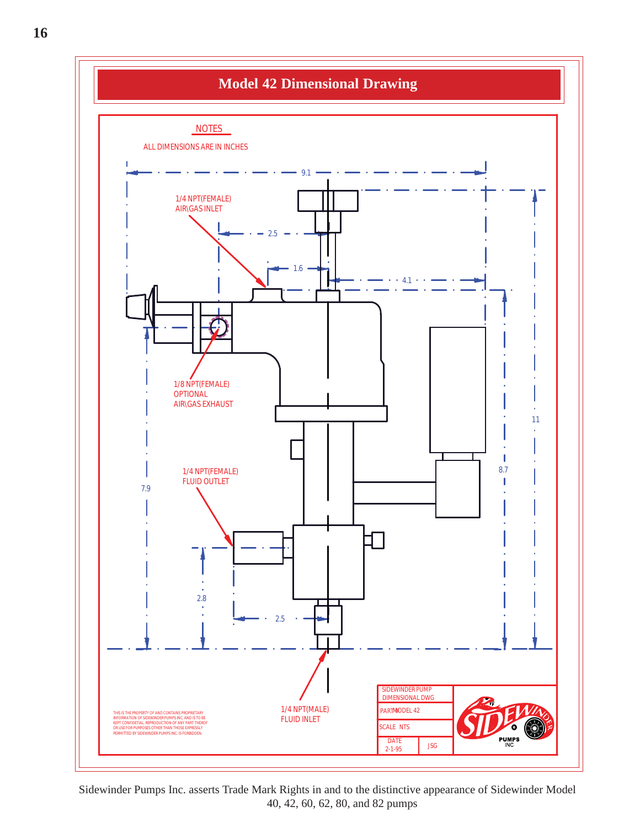![](_page_15_Figure_0.jpeg)

Sidewinder Pumps Inc. asserts Trade Mark Rights in and to the distinctive appearance of Sidewinder Model 40, 42, 60, 62, 80, and 82 pumps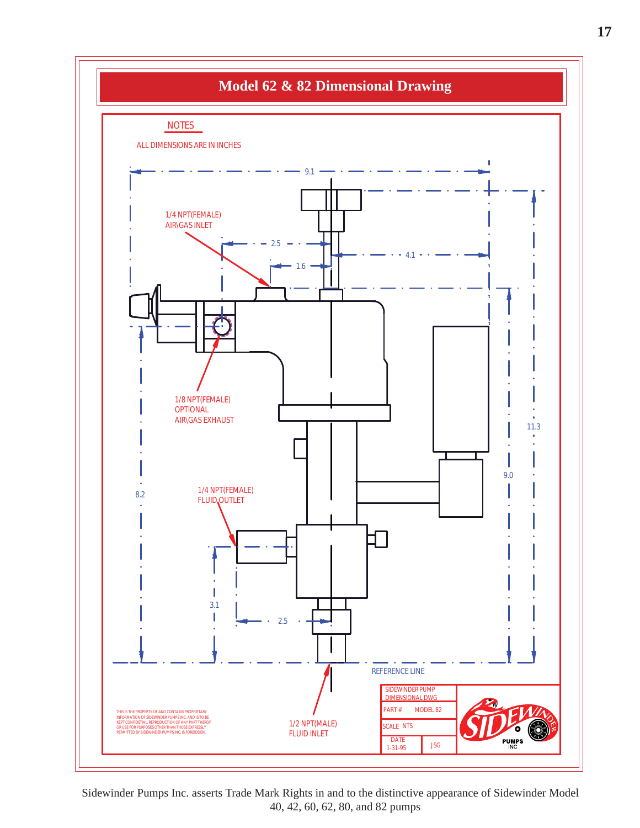![](_page_16_Figure_0.jpeg)

Sidewinder Pumps Inc. asserts Trade Mark Rights in and to the distinctive appearance of Sidewinder Model 40, 42, 60, 62, 80, and 82 pumps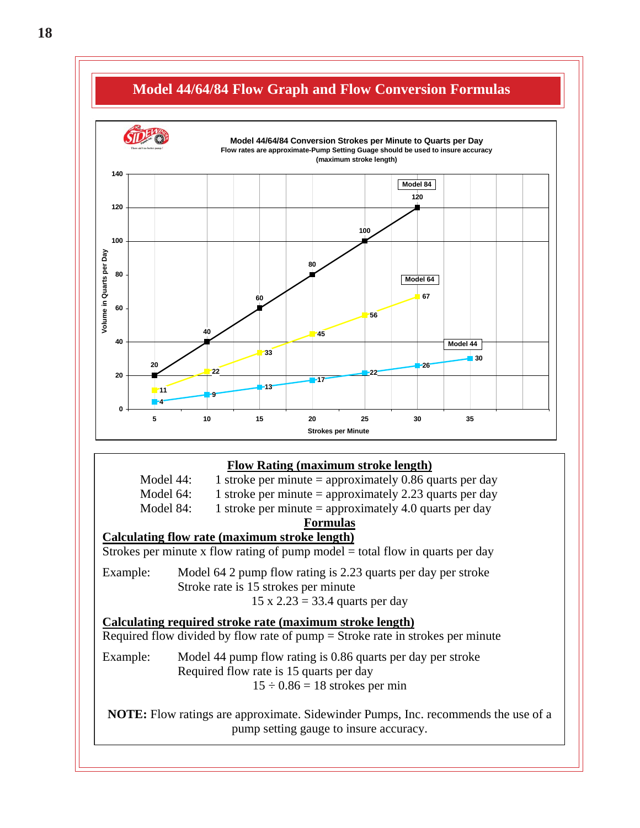![](_page_17_Figure_0.jpeg)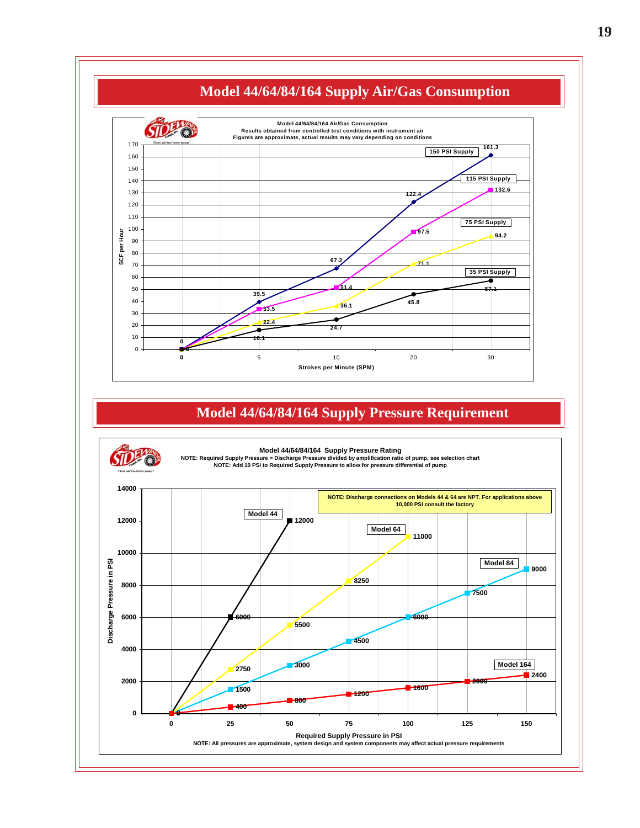![](_page_18_Figure_0.jpeg)

### **Model 44/64/84/164 Supply Pressure Requirement**

![](_page_18_Picture_2.jpeg)

**Model 44/64/84/164 Supply Pressure Rating**

**NOTE: Required Supply Pressure = Discharge Pressure divided by amplification ratio of pump, see selection chart NOTE: Add 10 PSI to Required Supply Pressure to allow for pressure differential of pump** 

![](_page_18_Figure_5.jpeg)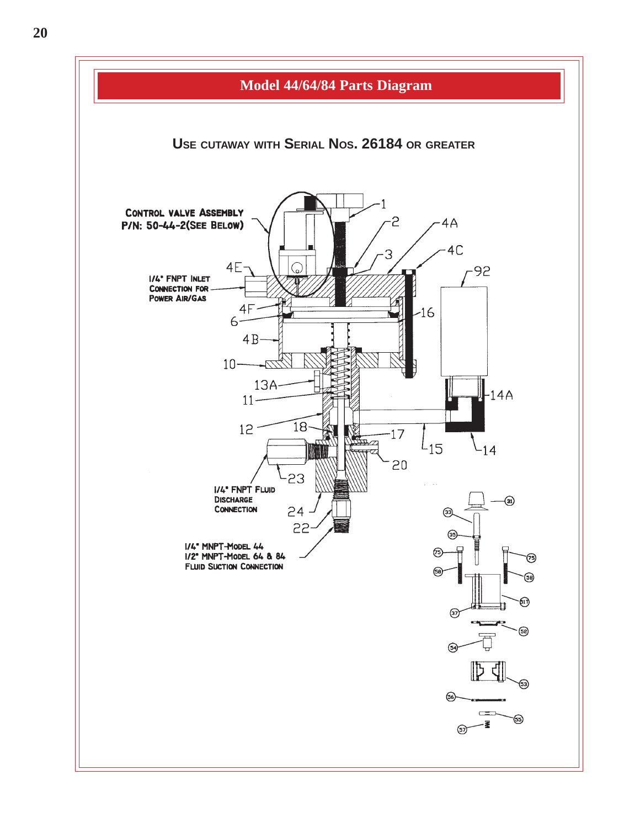![](_page_19_Figure_0.jpeg)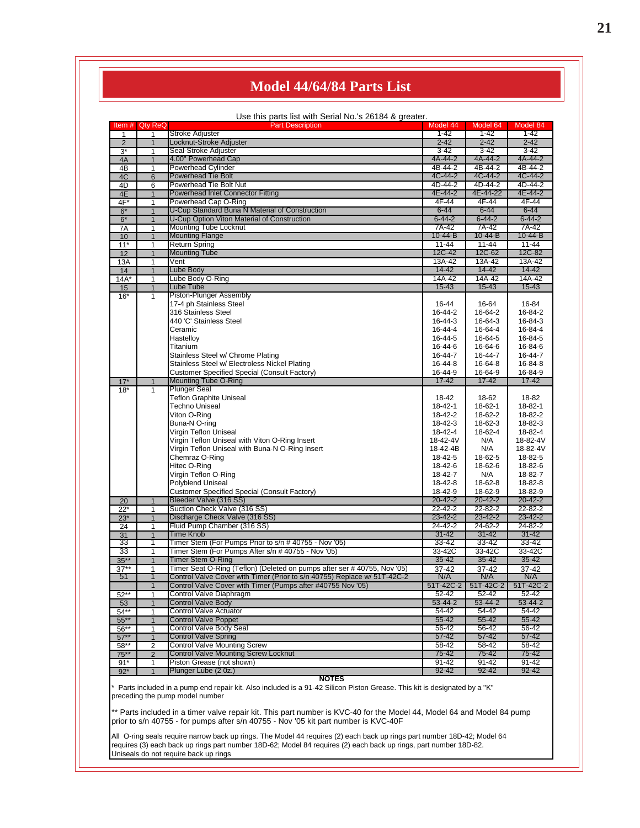### **Model 44/64/84 Parts List**

Use this parts list with Serial No.'s 26184 & greater.

| Item #         | <b>Qty ReQ</b>  | <b>Part Description</b>                                                                                                                                     | Model 44      | Model 64                          | Model 84      |
|----------------|-----------------|-------------------------------------------------------------------------------------------------------------------------------------------------------------|---------------|-----------------------------------|---------------|
| 1              | 1               | <b>Stroke Adjuster</b>                                                                                                                                      | $1 - 42$      | $1 - 42$                          | $1 - 42$      |
| $\overline{2}$ | $\mathbf{1}$    | Locknut-Stroke Adjuster                                                                                                                                     | $2 - 42$      | $2 - 42$                          | $2 - 42$      |
| $3^*$          | 1               | Seal-Stroke Adjuster                                                                                                                                        | $3 - 42$      | $3 - 42$                          | $3 - 42$      |
| 4A             | $\mathbf{1}$    | 4.00" Powerhead Cap                                                                                                                                         | 4A-44-2       | 4A-44-2                           | 4A-44-2       |
| 4B             | 1               | <b>Powerhead Cylinder</b>                                                                                                                                   | 4B-44-2       | 4B-44-2                           | 4B-44-2       |
| 4C             | $6\overline{6}$ | Powerhead Tie Bolt                                                                                                                                          | 4C-44-2       | 4C-44-2                           | 4C-44-2       |
| 4D             | 6               | Powerhead Tie Bolt Nut                                                                                                                                      | 4D-44-2       | 4D-44-2                           | 4D-44-2       |
| 4E             | $\mathbf{1}$    | Powerhead Inlet Connector Fitting                                                                                                                           | 4E-44-2       | 4E-44-22                          | 4E-44-2       |
| 4F*            | 1               | Powerhead Cap O-Ring                                                                                                                                        | 4F-44         | 4F-44                             | 4F-44         |
| $6*$           | $\mathbf{1}$    | U-Cup Standard Buna N Material of Construction                                                                                                              | $6 - 44$      | $6 - 44$                          | $6 - 44$      |
| $6*$           | 1               | U-Cup Option Viton Material of Construction                                                                                                                 | $6 - 44 - 2$  | $6 - 44 - 2$                      | $6 - 44 - 2$  |
| 7A             | 1               | <b>Mounting Tube Locknut</b>                                                                                                                                | 7A-42         | 7A-42                             | 7A-42         |
| 10             | $\mathbf{1}$    | <b>Mounting Flange</b>                                                                                                                                      | $10 - 44 - B$ | $10 - 44 - B$                     | $10 - 44 - B$ |
| $11*$          | 1               | <b>Return Spring</b>                                                                                                                                        | $11 - 44$     | $11 - 44$                         | $11 - 44$     |
| 12             | $\overline{1}$  | <b>Mounting Tube</b>                                                                                                                                        | 12C-42        | 12C-62                            | 12C-82        |
|                |                 | Vent                                                                                                                                                        | 13A-42        | 13A-42                            | 13A-42        |
| 13A            | 1               |                                                                                                                                                             | $14 - 42$     | 14-42                             | $14 - 42$     |
| 14             | $\mathbf{1}$    | Lube Body                                                                                                                                                   |               |                                   |               |
| $14A*$         | 1               | Lube Body O-Ring                                                                                                                                            | 14A-42        | 14A-42                            | 14A-42        |
| 15             | $\mathbf{1}$    | Lube Tube                                                                                                                                                   | $15 - 43$     | $15 - 43$                         | $15 - 43$     |
| $16*$          | 1               | Piston-Plunger Assembly                                                                                                                                     |               |                                   |               |
|                |                 | 17-4 ph Stainless Steel                                                                                                                                     | 16-44         | 16-64                             | 16-84         |
|                |                 | 316 Stainless Steel                                                                                                                                         | 16-44-2       | 16-64-2                           | 16-84-2       |
|                |                 | 440 'C' Stainless Steel                                                                                                                                     | 16-44-3       | 16-64-3                           | 16-84-3       |
|                |                 | Ceramic                                                                                                                                                     | 16-44-4       | 16-64-4                           | 16-84-4       |
|                |                 | Hastelloy                                                                                                                                                   | 16-44-5       | 16-64-5                           | 16-84-5       |
|                |                 | Titanium                                                                                                                                                    | 16-44-6       | 16-64-6                           | 16-84-6       |
|                |                 | Stainless Steel w/ Chrome Plating                                                                                                                           | 16-44-7       | 16-44-7                           | 16-44-7       |
|                |                 | Stainless Steel w/ Electroless Nickel Plating                                                                                                               | 16-44-8       | 16-64-8                           | 16-84-8       |
|                |                 | Customer Specified Special (Consult Factory)                                                                                                                | 16-44-9       | 16-64-9                           | 16-84-9       |
| $17*$          | $\mathbf{1}$    | <b>Mounting Tube O-Ring</b>                                                                                                                                 | $17 - 42$     | $17 - 42$                         | $17 - 42$     |
| $18*$          | 1               | Plunger Seal                                                                                                                                                |               |                                   |               |
|                |                 | <b>Teflon Graphite Uniseal</b>                                                                                                                              | 18-42         | 18-62                             | 18-82         |
|                |                 | Techno Uniseal                                                                                                                                              | 18-42-1       | 18-62-1                           | 18-82-1       |
|                |                 | Viton O-Ring                                                                                                                                                | 18-42-2       | 18-62-2                           | 18-82-2       |
|                |                 | Buna-N O-ring                                                                                                                                               | 18-42-3       | 18-62-3                           | 18-82-3       |
|                |                 | Virgin Teflon Uniseal                                                                                                                                       | 18-42-4       | 18-62-4                           | 18-82-4       |
|                |                 | Virgin Teflon Uniseal with Viton O-Ring Insert                                                                                                              | 18-42-4V      | N/A                               | 18-82-4V      |
|                |                 | Virgin Teflon Uniseal with Buna-N O-Ring Insert                                                                                                             | 18-42-4B      | N/A                               | 18-82-4V      |
|                |                 | Chemraz O-Ring                                                                                                                                              | 18-42-5       | 18-62-5                           | 18-82-5       |
|                |                 | Hitec O-Ring                                                                                                                                                | 18-42-6       | 18-62-6                           | 18-82-6       |
|                |                 | Virgin Teflon O-Ring                                                                                                                                        | 18-42-7       | N/A                               | 18-82-7       |
|                |                 | Polyblend Uniseal                                                                                                                                           | 18-42-8       | 18-62-8                           | 18-82-8       |
|                |                 | Customer Specified Special (Consult Factory)                                                                                                                | 18-42-9       | 18-62-9                           | 18-82-9       |
| 20             | $\mathbf{1}$    | Bleeder Valve (316 SS)                                                                                                                                      | $20 - 42 - 2$ | $20 - 42 - 2$                     | $20 - 42 - 2$ |
| $22*$          | 1               | Suction Check Valve (316 SS)                                                                                                                                | $22 - 42 - 2$ | 22-82-2                           | $22 - 82 - 2$ |
| $23*$          | $\mathbf{1}$    | Discharge Check Valve (316 SS)                                                                                                                              | 23-42-2       | 23-42-2                           | $23 - 42 - 2$ |
| 24             | 1               | Fluid Pump Chamber (316 SS)                                                                                                                                 | $24 - 42 - 2$ | $24 - 62 - 2$                     | $24 - 82 - 2$ |
| 31             | $\overline{1}$  | Time Knob                                                                                                                                                   | $31 - 42$     | $31 - 42$                         | $31 - 42$     |
| 33             | 1               | Timer Stem (For Pumps Prior to s/n # 40755 - Nov '05)                                                                                                       | 33-42         | 33-42                             | 33-42         |
| 33             | 1               | Timer Stem (For Pumps After s/n # 40755 - Nov '05)                                                                                                          | 33-42C        | 33-42C                            | 33-42C        |
| $35***$        | $\overline{1}$  | <b>Timer Stem O-Ring</b>                                                                                                                                    | $35 - 42$     | $35 - 42$                         | $35 - 42$     |
| $37***$        |                 | Timer Seat O-Ring (Teflon) (Deleted on pumps after ser #40755, Nov '05)                                                                                     |               |                                   |               |
|                | $\mathbf 1$     | Control Valve Cover with Timer (Prior to s/n 40755) Replace w/ 51T-42C-2                                                                                    | 37-42<br>N/A  | 37-42<br>N/A                      | $37 - 42$     |
| 51             |                 |                                                                                                                                                             |               |                                   | N/A           |
|                | $\overline{1}$  | Control Valve Cover with Timer (Pumps after #40755 Nov '05)                                                                                                 |               | 51T-42C-2   51T-42C-2   51T-42C-2 |               |
| $52**$         | 1               | Control Valve Diaphragm                                                                                                                                     | 52-42         | 52-42                             | $52 - 42$     |
| 53             |                 | <b>Control Valve Body</b>                                                                                                                                   | 53-44-2       | 53-44-2                           | $53 - 44 - 2$ |
| $54**$         | 1               | <b>Control Valve Actuator</b>                                                                                                                               | $54 - 42$     | 54-42                             | $54 - 42$     |
| $55***$        | $\mathbf{1}$    | <b>Control Valve Poppet</b>                                                                                                                                 | $55 - 42$     | $55 - 42$                         | $55 - 42$     |
| $56**$         | 1               | <b>Control Valve Body Seal</b>                                                                                                                              | 56-42         | $56 - 42$                         | 56-42         |
| $57***$        | $\mathbf{1}$    | <b>Control Valve Spring</b>                                                                                                                                 | 57-42         | 57-42                             | 57-42         |
| $58**$         | 2               | <b>Control Valve Mounting Screw</b>                                                                                                                         | $58 - 42$     | $58 - 42$                         | 58-42         |
| $75***$        | $\overline{2}$  | <b>Control Valve Mounting Screw Locknut</b>                                                                                                                 | 75-42         | 75-42                             | 75-42         |
| $91*$          | 1               | Piston Grease (not shown)                                                                                                                                   | $91 - 42$     | $91 - 42$                         | $91 - 42$     |
| $92*$          | 1               | Plunger Lube (2 0z.)                                                                                                                                        | $92 - 42$     | $92 - 42$                         | $92 - 42$     |
|                |                 | <b>NOTES</b>                                                                                                                                                |               |                                   |               |
|                |                 | Parts included in a pump end repair kit. Also included is a 91-42 Silicon Piston Grease. This kit is designated by a "K"<br>preceding the pump model number |               |                                   |               |

\*\* Parts included in a timer valve repair kit. This part number is KVC-40 for the Model 44, Model 64 and Model 84 pump prior to s/n 40755 - for pumps after s/n 40755 - Nov '05 kit part number is KVC-40F

All O-ring seals require narrow back up rings. The Model 44 requires (2) each back up rings part number 18D-42; Model 64 requires (3) each back up rings part number 18D-62; Model 84 requires (2) each back up rings, part number 18D-82. Uniseals do not require back up rings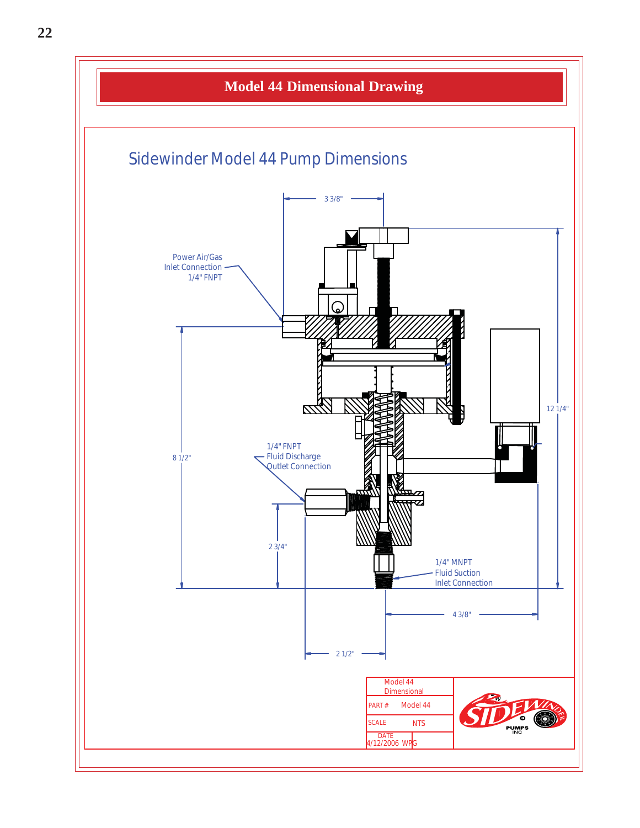![](_page_21_Figure_0.jpeg)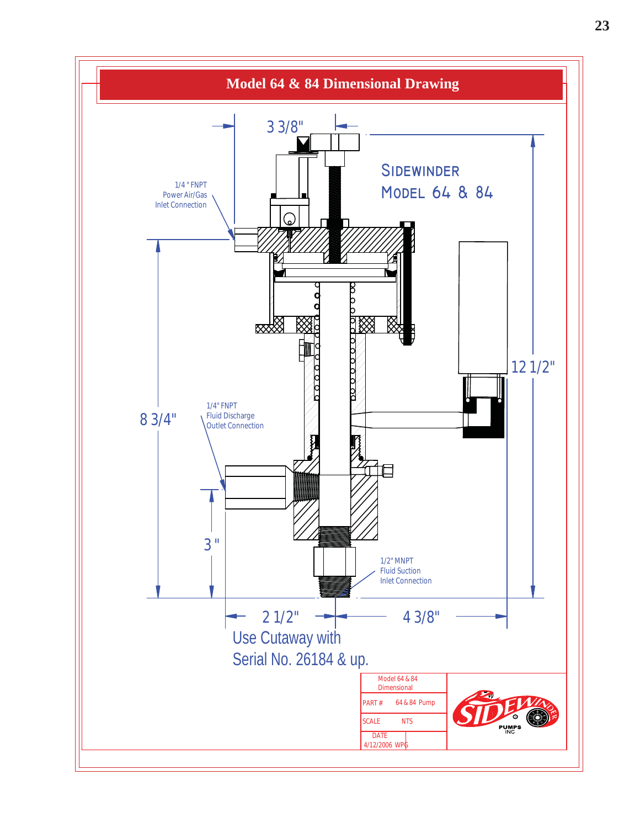![](_page_22_Figure_0.jpeg)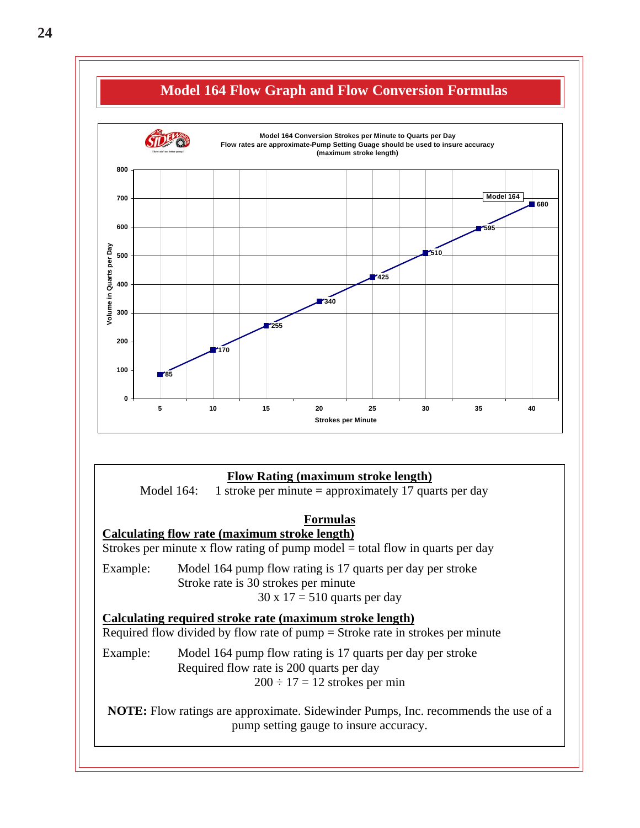![](_page_23_Figure_0.jpeg)

#### **Flow Rating (maximum stroke length)**

Model 164: 1 stroke per minute = approximately 17 quarts per day

#### **Formulas**

**Calculating flow rate (maximum stroke length)** Strokes per minute x flow rating of pump model  $=$  total flow in quarts per day

Example: Model 164 pump flow rating is 17 quarts per day per stroke Stroke rate is 30 strokes per minute  $30 \times 17 = 510$  quarts per day

#### **Calculating required stroke rate (maximum stroke length)**

Required flow divided by flow rate of pump = Stroke rate in strokes per minute

Example: Model 164 pump flow rating is 17 quarts per day per stroke Required flow rate is 200 quarts per day  $200 \div 17 = 12$  strokes per min

**NOTE:** Flow ratings are approximate. Sidewinder Pumps, Inc. recommends the use of a pump setting gauge to insure accuracy.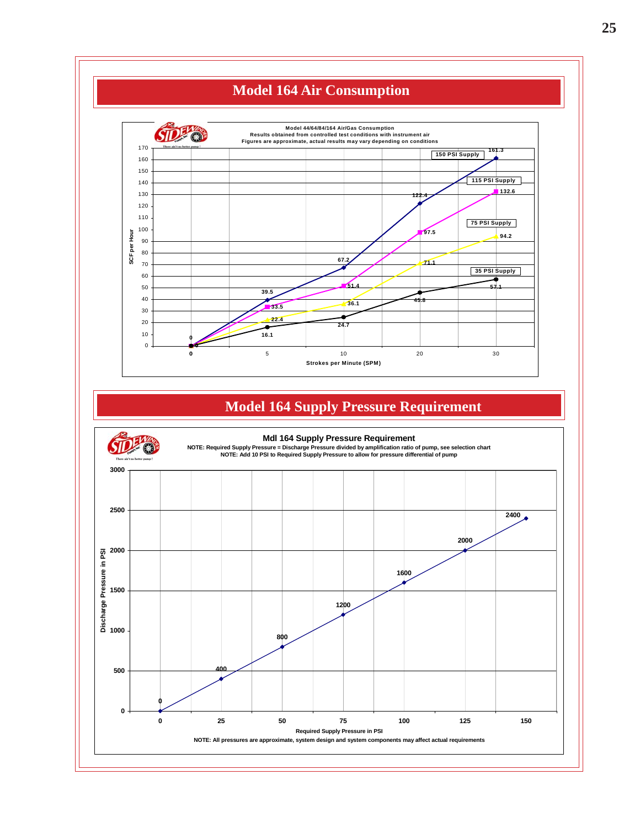![](_page_24_Figure_0.jpeg)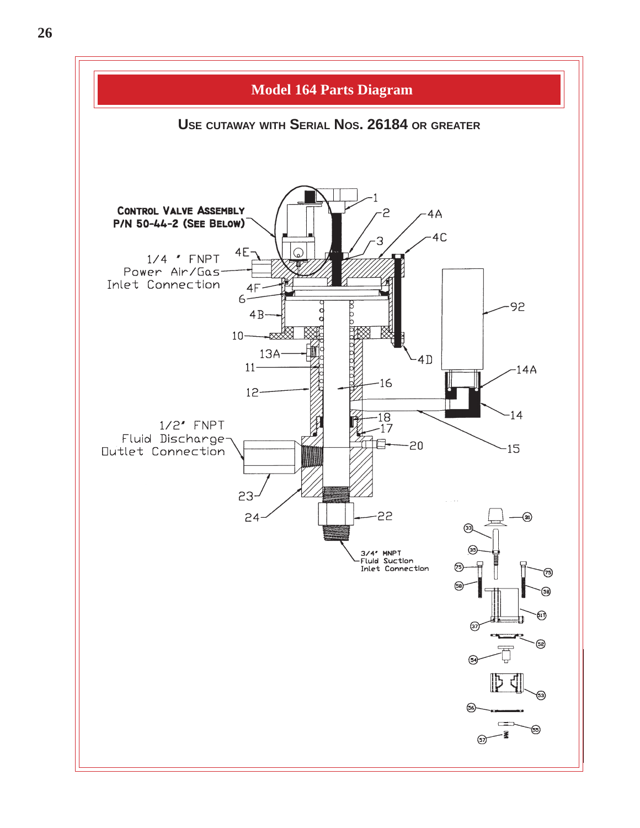![](_page_25_Figure_0.jpeg)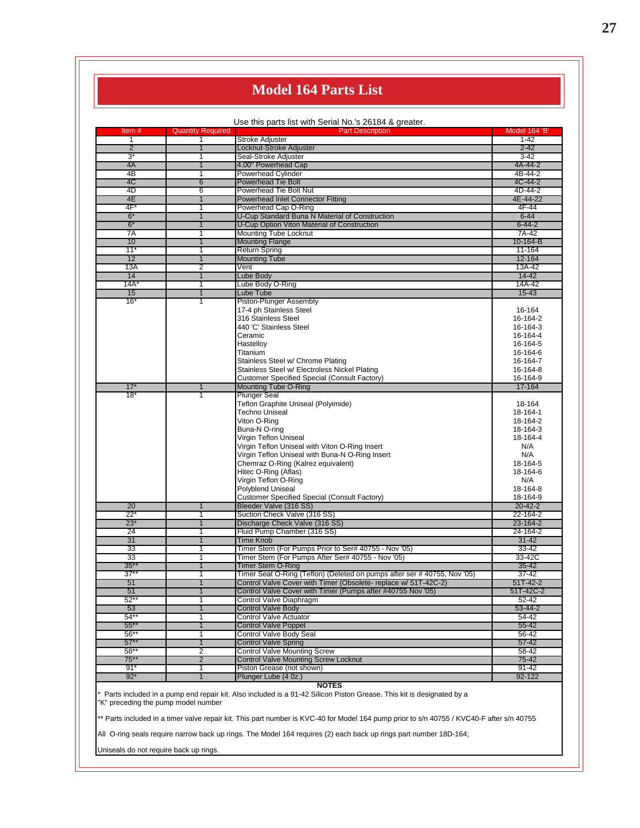### **Model 164 Parts List**

|                     |                          | Use this parts list with Serial No.'s 26184 & greater.                   |                           |
|---------------------|--------------------------|--------------------------------------------------------------------------|---------------------------|
| Item $#$            | <b>Quantity Required</b> | <b>Part Description</b>                                                  | Model 164 'B'<br>$1 - 42$ |
| 1<br>$\overline{2}$ | 1<br>1                   | <b>Stroke Adjuster</b><br>Locknut-Stroke Adjuster                        | $2 - 42$                  |
| $3^*$               | 1                        | Seal-Stroke Adjuster                                                     | 3-42                      |
| 4A                  | $\overline{1}$           |                                                                          | 4A-44-2                   |
| 4 <sub>B</sub>      |                          | 4.00" Powerhead Cap<br><b>Powerhead Cylinder</b>                         | 4B-44-2                   |
|                     | 1                        |                                                                          | 4C-44-2                   |
| 4C                  | 6                        | <b>Powerhead Tie Bolt</b>                                                |                           |
| 4D                  | 6                        | Powerhead Tie Bolt Nut                                                   | 4D-44-2                   |
| 4E                  | $\overline{1}$           | <b>Powerhead Inlet Connector Fitting</b>                                 | 4E-44-22                  |
| 4F*                 | 1                        | Powerhead Cap O-Ring                                                     | 4F-44                     |
| $6*$                | $\mathbf{1}$             | U-Cup Standard Buna N Material of Construction                           | $6 - 44$                  |
| $6*$                | 1                        | U-Cup Option Viton Material of Construction                              | $6 - 44 - 2$              |
| 7A                  | 1                        | <b>Mounting Tube Locknut</b>                                             | 7A-42                     |
| 10                  | 1                        | <b>Mounting Flange</b>                                                   | 10-164-B                  |
| $11*$               | 1                        | <b>Return Spring</b>                                                     | 11-164                    |
| 12                  | $\overline{1}$           | <b>Mounting Tube</b>                                                     | 12-164                    |
| 13A                 | 2                        | Vent                                                                     | 13A-42                    |
| 14                  | $\mathbf{1}$             | Lube Body                                                                | $14 - 42$                 |
| 14A'                | 1                        | Lube Body O-Ring                                                         | 14A-42                    |
| 15                  | $\overline{1}$           | Lube Tube                                                                | $15 - 43$                 |
| 16'                 | 1                        | Piston-Plunger Assembly                                                  |                           |
|                     |                          | 17-4 ph Stainless Steel                                                  | 16-164                    |
|                     |                          | 316 Stainless Steel                                                      | 16-164-2                  |
|                     |                          | 440 'C' Stainless Steel                                                  | 16-164-3                  |
|                     |                          | Ceramic                                                                  | 16-164-4                  |
|                     |                          |                                                                          |                           |
|                     |                          | Hastelloy                                                                | 16-164-5                  |
|                     |                          | Titanium                                                                 | 16-164-6                  |
|                     |                          | Stainless Steel w/ Chrome Plating                                        | 16-164-7                  |
|                     |                          | Stainless Steel w/ Electroless Nickel Plating                            | 16-164-8                  |
|                     |                          | Customer Specified Special (Consult Factory)                             | 16-164-9                  |
| 17'                 | $\overline{1}$           | <b>Mounting Tube O-Ring</b>                                              | 17-164                    |
| 18'                 | 1                        | <b>Plunger Seal</b>                                                      |                           |
|                     |                          | Teflon Graphite Uniseal (Polyimide)                                      | 18-164                    |
|                     |                          | <b>Techno Uniseal</b>                                                    | 18-164-1                  |
|                     |                          | Viton O-Ring                                                             | 18-164-2                  |
|                     |                          | Buna-N O-ring                                                            | 18-164-3                  |
|                     |                          | Virgin Teflon Uniseal                                                    | 18-164-4                  |
|                     |                          | Virgin Teflon Uniseal with Viton O-Ring Insert                           | N/A                       |
|                     |                          | Virgin Teflon Uniseal with Buna-N O-Ring Insert                          | N/A                       |
|                     |                          | Chemraz O-Ring (Kalrez equivalent)                                       | 18-164-5                  |
|                     |                          | Hitec O-Ring (Aflas)                                                     | 18-164-6                  |
|                     |                          | Virgin Teflon O-Ring                                                     | N/A                       |
|                     |                          | Polyblend Uniseal                                                        | 18-164-8                  |
|                     |                          | Customer Specified Special (Consult Factory)                             | 18-164-9                  |
| 20                  | $\overline{1}$           | Bleeder Valve (316 SS)                                                   | $20 - 42 - 2$             |
| $22^{\prime}$       |                          |                                                                          |                           |
|                     | 1                        | Suction Check Valve (316 SS)                                             | 22-164-2                  |
| $23*$               |                          | Discharge Check Valve (316 SS)                                           | 23-164-2                  |
| 24                  | 1                        | Fluid Pump Chamber (316 SS)                                              | 24-164-2                  |
| 31                  | $\mathbf{1}$             | <b>Time Knob</b>                                                         | $31 - 42$                 |
| 33                  | 1                        | Timer Stem (For Pumps Prior to Ser# 40755 - Nov '05)                     | $33 - 42$                 |
| 33                  | 1                        | Timer Stem (For Pumps After Ser# 40755 - Nov '05)                        | 33-42C                    |
| $35***$             | $\overline{1}$           | Timer Stem O-Ring                                                        | $35 - 42$                 |
| $37*$               | 1                        | Timer Seat O-Ring (Teflon) (Deleted on pumps after ser # 40755, Nov '05) | $37 - 42$                 |
| 51                  | 1                        | Control Valve Cover with Timer (Obsolete- replace w/ 51T-42C-2)          | 51T-42-2                  |
| 51                  | 1                        | Control Valve Cover with Timer (Pumps after #40755 Nov '05)              | 51T-42C-2                 |
| $52**$              | 1                        | Control Valve Diaphragm                                                  | 52-42                     |
| 53                  | 1                        | <b>Control Valve Body</b>                                                | 53-44-2                   |
| $54**$              | 1                        | <b>Control Valve Actuator</b>                                            | 54-42                     |
| $55***$             | $\overline{1}$           | <b>Control Valve Poppet</b>                                              | $55 - 42$                 |
| $56**$              | 1                        | Control Valve Body Seal                                                  | 56-42                     |
| $57*$               | 1                        | <b>Control Valve Spring</b>                                              | 57-42                     |
|                     |                          |                                                                          |                           |
| $58*$               | 2                        | <b>Control Valve Mounting Screw</b>                                      | $58 - 42$                 |
| 75**                | $\overline{2}$           | <b>Control Valve Mounting Screw Locknut</b>                              | 75-42                     |
|                     | 1                        | Piston Grease (not shown)                                                | 91-42                     |
| 91*<br>$92*$        | 1                        | Plunger Lube (4 0z.)                                                     | 92-122                    |

\* Parts included in a pump end repair kit. Also included is a 91-42 Silicon Piston Grease. This kit is designated by a "K" preceding the pump model number

\*\* Parts included in a timer valve repair kit. This part number is KVC-40 for Model 164 pump prior to s/n 40755 / KVC40-F after s/n 40755

All O-ring seals require narrow back up rings. The Model 164 requires (2) each back up rings part number 18D-164;

Uniseals do not require back up rings.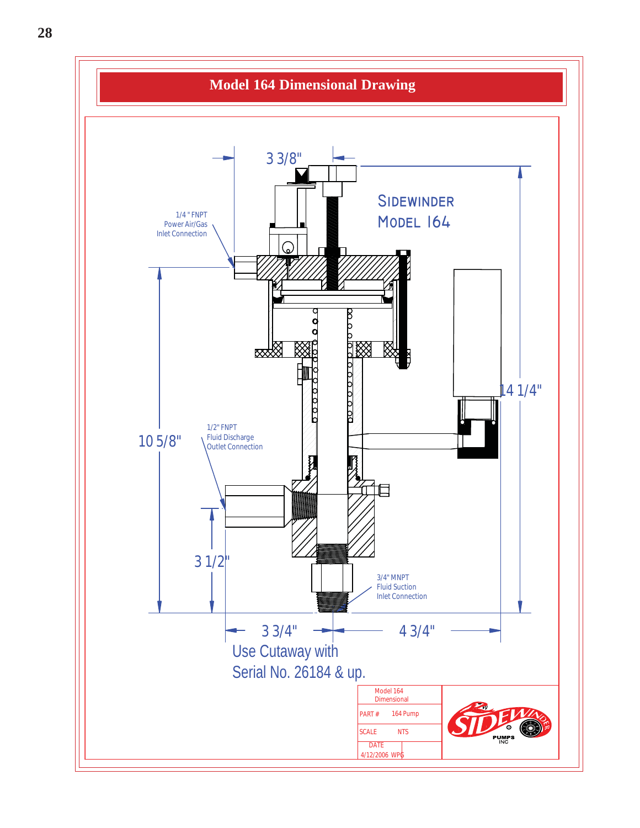![](_page_27_Figure_0.jpeg)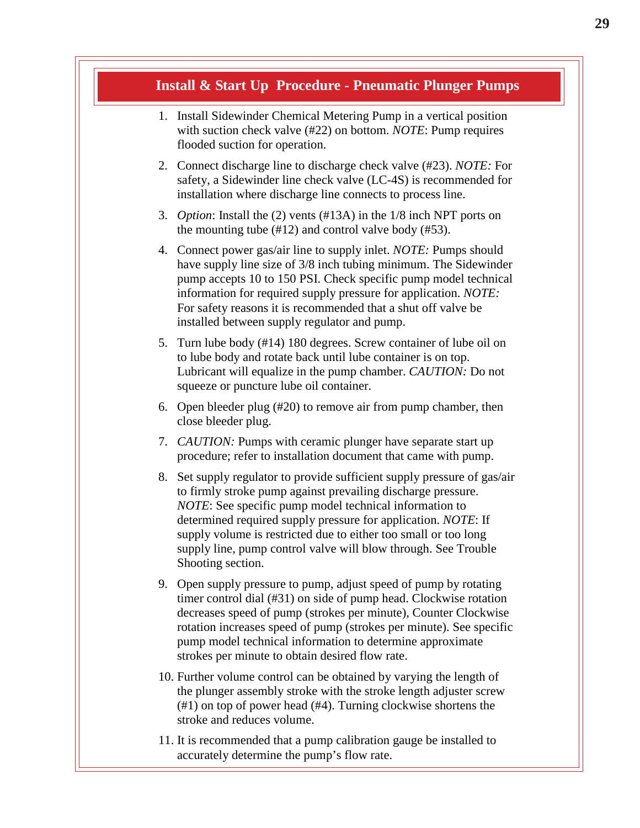#### **Install & Start Up Procedure - Pneumatic Plunger Pumps**

- 1. Install Sidewinder Chemical Metering Pump in a vertical position with suction check valve (#22) on bottom. *NOTE*: Pump requires flooded suction for operation.
- 2. Connect discharge line to discharge check valve (#23). *NOTE:* For safety, a Sidewinder line check valve (LC-4S) is recommended for installation where discharge line connects to process line.
- 3. *Option*: Install the (2) vents (#13A) in the 1/8 inch NPT ports on the mounting tube (#12) and control valve body (#53).
- 4. Connect power gas/air line to supply inlet. *NOTE:* Pumps should have supply line size of 3/8 inch tubing minimum. The Sidewinder pump accepts 10 to 150 PSI. Check specific pump model technical information for required supply pressure for application. *NOTE:* For safety reasons it is recommended that a shut off valve be installed between supply regulator and pump.
- 5. Turn lube body (#14) 180 degrees. Screw container of lube oil on to lube body and rotate back until lube container is on top. Lubricant will equalize in the pump chamber. *CAUTION:* Do not squeeze or puncture lube oil container.
- 6. Open bleeder plug (#20) to remove air from pump chamber, then close bleeder plug.
- 7. *CAUTION:* Pumps with ceramic plunger have separate start up procedure; refer to installation document that came with pump.
- 8. Set supply regulator to provide sufficient supply pressure of gas/air to firmly stroke pump against prevailing discharge pressure. *NOTE*: See specific pump model technical information to determined required supply pressure for application. *NOTE*: If supply volume is restricted due to either too small or too long supply line, pump control valve will blow through. See Trouble Shooting section.
- 9. Open supply pressure to pump, adjust speed of pump by rotating timer control dial (#31) on side of pump head. Clockwise rotation decreases speed of pump (strokes per minute), Counter Clockwise rotation increases speed of pump (strokes per minute). See specific pump model technical information to determine approximate strokes per minute to obtain desired flow rate.
- 10. Further volume control can be obtained by varying the length of the plunger assembly stroke with the stroke length adjuster screw (#1) on top of power head (#4). Turning clockwise shortens the stroke and reduces volume.
- 11. It is recommended that a pump calibration gauge be installed to accurately determine the pump's flow rate.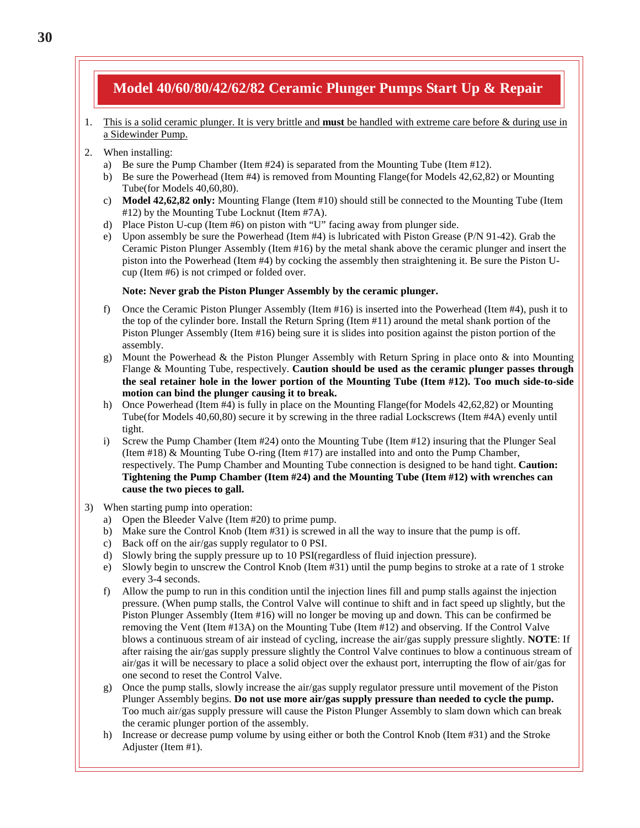### **Model 40/60/80/42/62/82 Ceramic Plunger Pumps Start Up & Repair**

- 1. This is a solid ceramic plunger. It is very brittle and **must** be handled with extreme care before & during use in a Sidewinder Pump.
- 2. When installing:
	- a) Be sure the Pump Chamber (Item #24) is separated from the Mounting Tube (Item #12).
	- b) Be sure the Powerhead (Item #4) is removed from Mounting Flange(for Models 42,62,82) or Mounting Tube(for Models 40,60,80).
	- c) **Model 42,62,82 only:** Mounting Flange (Item #10) should still be connected to the Mounting Tube (Item #12) by the Mounting Tube Locknut (Item #7A).
	- d) Place Piston U-cup (Item #6) on piston with "U" facing away from plunger side.
	- e) Upon assembly be sure the Powerhead (Item #4) is lubricated with Piston Grease (P/N 91-42). Grab the Ceramic Piston Plunger Assembly (Item #16) by the metal shank above the ceramic plunger and insert the piston into the Powerhead (Item #4) by cocking the assembly then straightening it. Be sure the Piston Ucup (Item #6) is not crimped or folded over.

#### **Note: Never grab the Piston Plunger Assembly by the ceramic plunger.**

- f) Once the Ceramic Piston Plunger Assembly (Item #16) is inserted into the Powerhead (Item #4), push it to the top of the cylinder bore. Install the Return Spring (Item #11) around the metal shank portion of the Piston Plunger Assembly (Item #16) being sure it is slides into position against the piston portion of the assembly.
- g) Mount the Powerhead & the Piston Plunger Assembly with Return Spring in place onto & into Mounting Flange & Mounting Tube, respectively. **Caution should be used as the ceramic plunger passes through the seal retainer hole in the lower portion of the Mounting Tube (Item #12). Too much side-to-side motion can bind the plunger causing it to break.**
- h) Once Powerhead (Item #4) is fully in place on the Mounting Flange(for Models 42,62,82) or Mounting Tube(for Models 40,60,80) secure it by screwing in the three radial Lockscrews (Item #4A) evenly until tight.
- i) Screw the Pump Chamber (Item #24) onto the Mounting Tube (Item #12) insuring that the Plunger Seal (Item #18) & Mounting Tube O-ring (Item #17) are installed into and onto the Pump Chamber, respectively. The Pump Chamber and Mounting Tube connection is designed to be hand tight. **Caution: Tightening the Pump Chamber (Item #24) and the Mounting Tube (Item #12) with wrenches can cause the two pieces to gall.**
- 3) When starting pump into operation:
	- a) Open the Bleeder Valve (Item #20) to prime pump.
	- b) Make sure the Control Knob (Item #31) is screwed in all the way to insure that the pump is off.
	- c) Back off on the air/gas supply regulator to 0 PSI.
	- d) Slowly bring the supply pressure up to 10 PSI(regardless of fluid injection pressure).
	- e) Slowly begin to unscrew the Control Knob (Item #31) until the pump begins to stroke at a rate of 1 stroke every 3-4 seconds.
	- f) Allow the pump to run in this condition until the injection lines fill and pump stalls against the injection pressure. (When pump stalls, the Control Valve will continue to shift and in fact speed up slightly, but the Piston Plunger Assembly (Item #16) will no longer be moving up and down. This can be confirmed be removing the Vent (Item #13A) on the Mounting Tube (Item #12) and observing. If the Control Valve blows a continuous stream of air instead of cycling, increase the air/gas supply pressure slightly. **NOTE**: If after raising the air/gas supply pressure slightly the Control Valve continues to blow a continuous stream of air/gas it will be necessary to place a solid object over the exhaust port, interrupting the flow of air/gas for one second to reset the Control Valve.
	- g) Once the pump stalls, slowly increase the air/gas supply regulator pressure until movement of the Piston Plunger Assembly begins. **Do not use more air/gas supply pressure than needed to cycle the pump.** Too much air/gas supply pressure will cause the Piston Plunger Assembly to slam down which can break the ceramic plunger portion of the assembly.
	- h) Increase or decrease pump volume by using either or both the Control Knob (Item #31) and the Stroke Adjuster (Item #1).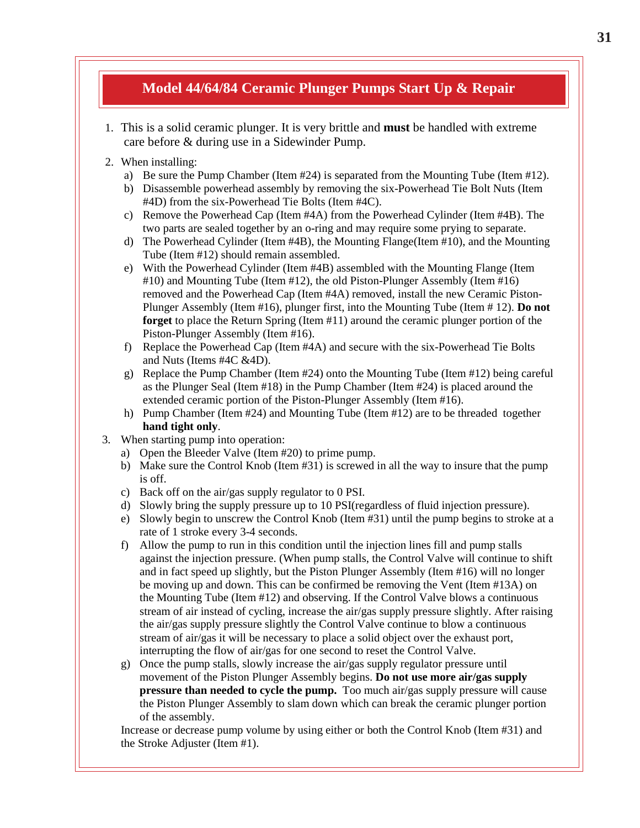### **Model 44/64/84 Ceramic Plunger Pumps Start Up & Repair**

- 1. This is a solid ceramic plunger. It is very brittle and **must** be handled with extreme care before & during use in a Sidewinder Pump.
- 2. When installing:
	- a) Be sure the Pump Chamber (Item  $#24$ ) is separated from the Mounting Tube (Item  $#12$ ).
	- b) Disassemble powerhead assembly by removing the six-Powerhead Tie Bolt Nuts (Item #4D) from the six-Powerhead Tie Bolts (Item #4C).
	- c) Remove the Powerhead Cap (Item #4A) from the Powerhead Cylinder (Item #4B). The two parts are sealed together by an o-ring and may require some prying to separate.
	- d) The Powerhead Cylinder (Item #4B), the Mounting Flange(Item #10), and the Mounting Tube (Item #12) should remain assembled.
	- e) With the Powerhead Cylinder (Item #4B) assembled with the Mounting Flange (Item #10) and Mounting Tube (Item #12), the old Piston-Plunger Assembly (Item #16) removed and the Powerhead Cap (Item #4A) removed, install the new Ceramic Piston-Plunger Assembly (Item #16), plunger first, into the Mounting Tube (Item # 12). **Do not forget** to place the Return Spring (Item #11) around the ceramic plunger portion of the Piston-Plunger Assembly (Item #16).
	- f) Replace the Powerhead Cap (Item #4A) and secure with the six-Powerhead Tie Bolts and Nuts (Items #4C &4D).
	- g) Replace the Pump Chamber (Item #24) onto the Mounting Tube (Item #12) being careful as the Plunger Seal (Item #18) in the Pump Chamber (Item #24) is placed around the extended ceramic portion of the Piston-Plunger Assembly (Item #16).
	- h) Pump Chamber (Item #24) and Mounting Tube (Item #12) are to be threaded together **hand tight only**.
- 3. When starting pump into operation:
	- a) Open the Bleeder Valve (Item #20) to prime pump.
	- b) Make sure the Control Knob (Item #31) is screwed in all the way to insure that the pump is off.
	- c) Back off on the air/gas supply regulator to 0 PSI.
	- d) Slowly bring the supply pressure up to 10 PSI(regardless of fluid injection pressure).
	- e) Slowly begin to unscrew the Control Knob (Item #31) until the pump begins to stroke at a rate of 1 stroke every 3-4 seconds.
	- f) Allow the pump to run in this condition until the injection lines fill and pump stalls against the injection pressure. (When pump stalls, the Control Valve will continue to shift and in fact speed up slightly, but the Piston Plunger Assembly (Item #16) will no longer be moving up and down. This can be confirmed be removing the Vent (Item #13A) on the Mounting Tube (Item #12) and observing. If the Control Valve blows a continuous stream of air instead of cycling, increase the air/gas supply pressure slightly. After raising the air/gas supply pressure slightly the Control Valve continue to blow a continuous stream of air/gas it will be necessary to place a solid object over the exhaust port, interrupting the flow of air/gas for one second to reset the Control Valve.
	- g) Once the pump stalls, slowly increase the air/gas supply regulator pressure until movement of the Piston Plunger Assembly begins. **Do not use more air/gas supply pressure than needed to cycle the pump.** Too much air/gas supply pressure will cause the Piston Plunger Assembly to slam down which can break the ceramic plunger portion of the assembly.

Increase or decrease pump volume by using either or both the Control Knob (Item #31) and the Stroke Adjuster (Item #1).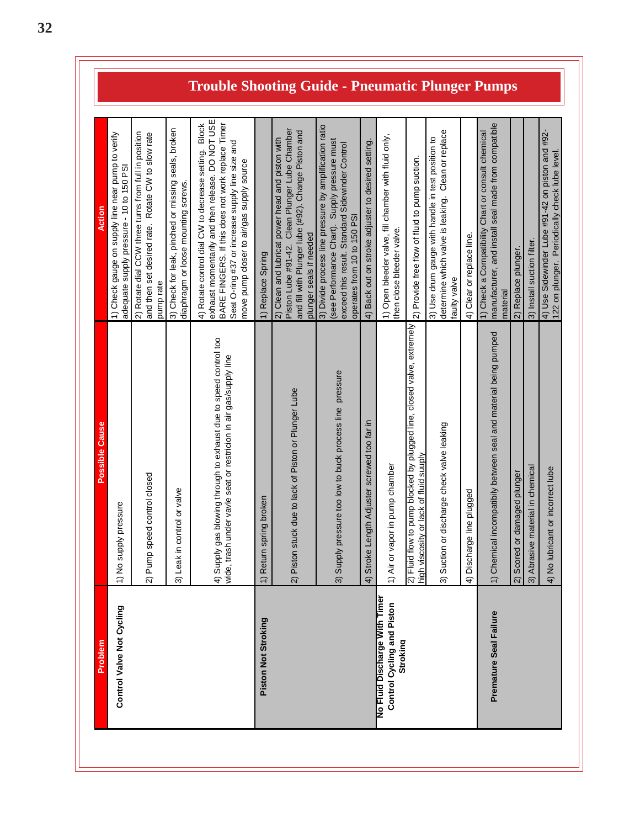|                               | Possible Cause                                                                                                                            | Action                                                                                                                                                                                                                                                                   |                                                         |
|-------------------------------|-------------------------------------------------------------------------------------------------------------------------------------------|--------------------------------------------------------------------------------------------------------------------------------------------------------------------------------------------------------------------------------------------------------------------------|---------------------------------------------------------|
|                               | 1) No supply pressure                                                                                                                     | 1) Check gauge on supply line near pump to verify<br>adequate supply pressure - 10 to 150 PSI                                                                                                                                                                            |                                                         |
|                               | 2) Pump speed control closed                                                                                                              | 2) Rotate dial CCW three turns from full in position<br>Rotate CW to slow rate<br>and then set desired rate.<br>pump rate                                                                                                                                                |                                                         |
|                               | control or valve<br>3) Leak in                                                                                                            | 3) Check for leak, pinched or missing seals, broken<br>diaphragm or loose mounting screws.                                                                                                                                                                               |                                                         |
|                               | gas blowing through to exhaust due to speed control too<br>wide, trash under vavle seat or restricion in air gas/supply line<br>4) Supply | exhaust momentarily and then release. DO NOT USE<br>BARE FINGERS. If this does not work replace Timer<br><b>Block</b><br>Seat O-ring #37 or increase supply line size and<br>4) Rotate control dial CW to decrease setting.<br>move pump closer to air/gas supply source | <b>Trouble Shooting Guide - Pneumatic Plunger Pumps</b> |
|                               | spring broken<br>1) Return                                                                                                                | 1) Replace Spring                                                                                                                                                                                                                                                        |                                                         |
|                               | stuck due to lack of Piston or Plunger Lube<br>2) Piston                                                                                  | Piston Lube #91-42. Clean Plunger Lube Chamber<br>and fill with Plunger lube (#92). Change Piston and<br>2) Clean and lubricat power head and piston with<br>plunger seals if needed                                                                                     |                                                         |
|                               | pressure too low to buck process line pressure<br>3) Supply                                                                               | 3) Divide process line pressure by amplification ratio<br>(see Performance Chart). Supply pressure must<br>exceed this result. Standard Sidewinder Control<br>operates from 10 to 150 PSI                                                                                |                                                         |
|                               | Length Adjuster screwed too far in<br>4) Stroke                                                                                           | 4) Back out on stroke adjuster to desired setting.                                                                                                                                                                                                                       |                                                         |
| No Fluid Discharge With Timer | 1) Air or vapor in pump chamber                                                                                                           | 1) Open bleeder valve, fill chamber with fluid only,<br>then close bleeder valve.                                                                                                                                                                                        |                                                         |
|                               | 2) Fluid flow to pump blocked by plugged line, closed valve, extremely<br>high viscosity or lack of fluid suuply                          | 2) Provide free flow of fluid to pump suction.                                                                                                                                                                                                                           |                                                         |
|                               | 3) Suction or discharge check valve leaking                                                                                               | determine which valve is leaking. Clean or replace<br>3) Use drum gauge with handle in test position to<br>faulty valve                                                                                                                                                  |                                                         |
|                               | 4) Discharge line plugged                                                                                                                 | 4) Clear or replace line.                                                                                                                                                                                                                                                |                                                         |
|                               | 1) Chemical incompatibily between seal and material being pumped                                                                          | manufacturer, and install seal made from compatible<br>1) Check a Compatibility Chart or consult chemical<br>material                                                                                                                                                    |                                                         |
|                               | or damaged plunger<br>2) Scored                                                                                                           | 2) Replace plunger.                                                                                                                                                                                                                                                      |                                                         |
|                               | 3) Abrasive material in chemical                                                                                                          | 3) Install suction filter.                                                                                                                                                                                                                                               |                                                         |
|                               | 4) No lubricant or incorrect lube                                                                                                         | 4) Use Sidewinder Lube #91-42 on piston and #92-<br>122 on plunger. Periodically check lube level.                                                                                                                                                                       |                                                         |
|                               |                                                                                                                                           |                                                                                                                                                                                                                                                                          |                                                         |

**32**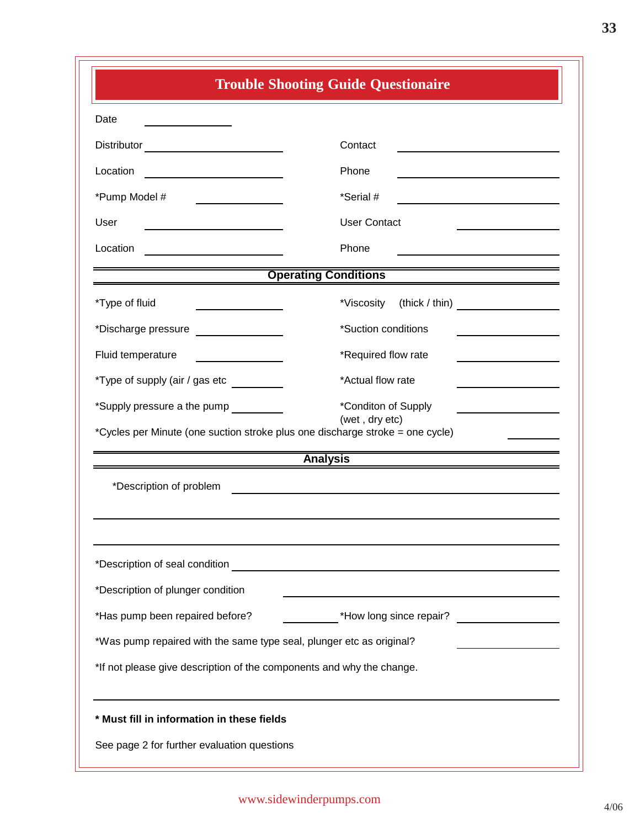| <b>Trouble Shooting Guide Questionaire</b>                                                                                                                      |                                                           |  |  |  |
|-----------------------------------------------------------------------------------------------------------------------------------------------------------------|-----------------------------------------------------------|--|--|--|
| Date<br>the control of the control of the                                                                                                                       |                                                           |  |  |  |
| Distributor __________________________                                                                                                                          | Contact                                                   |  |  |  |
| Location<br>the control of the control of the control of                                                                                                        | Phone                                                     |  |  |  |
| *Pump Model #<br>and the property of the control of                                                                                                             | *Serial #                                                 |  |  |  |
| User                                                                                                                                                            | <b>User Contact</b>                                       |  |  |  |
| Location                                                                                                                                                        | Phone                                                     |  |  |  |
| <u> 1980 - Jan Samuel Barbara, martin da shekara tsara 1980 - An tsara 1980 - An tsara 1980 - An tsara 1980 - An</u>                                            | <b>Operating Conditions</b>                               |  |  |  |
| *Type of fluid                                                                                                                                                  | *Viscosity (thick / thin) ____________________            |  |  |  |
| *Discharge pressure ________________                                                                                                                            | *Suction conditions                                       |  |  |  |
| Fluid temperature                                                                                                                                               | *Required flow rate                                       |  |  |  |
| *Type of supply (air / gas etc _________<br>*Actual flow rate                                                                                                   |                                                           |  |  |  |
| *Supply pressure a the pump _________<br>*Conditon of Supply<br>(wet, dry etc)<br>*Cycles per Minute (one suction stroke plus one discharge stroke = one cycle) |                                                           |  |  |  |
|                                                                                                                                                                 | <b>Analysis</b>                                           |  |  |  |
| *Description of problem                                                                                                                                         |                                                           |  |  |  |
| *Description of seal condition<br>*Description of plunger condition                                                                                             | <u> 1989 - Johann Barnett, fransk politiker (d. 1989)</u> |  |  |  |
| *Has pump been repaired before?                                                                                                                                 | _ *How long since repair? ___________________             |  |  |  |
| *Was pump repaired with the same type seal, plunger etc as original?                                                                                            |                                                           |  |  |  |
| *If not please give description of the components and why the change.                                                                                           |                                                           |  |  |  |
| * Must fill in information in these fields<br>See page 2 for further evaluation questions                                                                       |                                                           |  |  |  |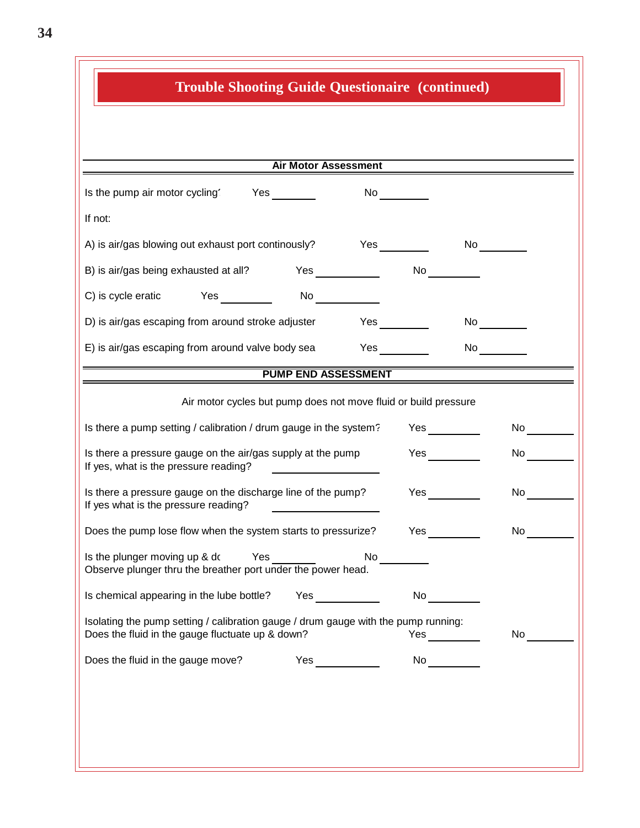| <b>Trouble Shooting Guide Questionaire (continued)</b>                                                                                                                                                                                                                           |                                                                                                                                                                                                                                |                                                                                                                                                                                                                                |  |  |  |
|----------------------------------------------------------------------------------------------------------------------------------------------------------------------------------------------------------------------------------------------------------------------------------|--------------------------------------------------------------------------------------------------------------------------------------------------------------------------------------------------------------------------------|--------------------------------------------------------------------------------------------------------------------------------------------------------------------------------------------------------------------------------|--|--|--|
|                                                                                                                                                                                                                                                                                  |                                                                                                                                                                                                                                |                                                                                                                                                                                                                                |  |  |  |
| Air Motor Assessment                                                                                                                                                                                                                                                             |                                                                                                                                                                                                                                |                                                                                                                                                                                                                                |  |  |  |
| Is the pump air motor cycling Yes                                                                                                                                                                                                                                                | $No \ \underline{\hspace{1cm}}$                                                                                                                                                                                                |                                                                                                                                                                                                                                |  |  |  |
| If not:                                                                                                                                                                                                                                                                          |                                                                                                                                                                                                                                |                                                                                                                                                                                                                                |  |  |  |
| A) is air/gas blowing out exhaust port continously?                                                                                                                                                                                                                              | Yes                                                                                                                                                                                                                            | No                                                                                                                                                                                                                             |  |  |  |
| B) is air/gas being exhausted at all?<br>Yes                                                                                                                                                                                                                                     | No                                                                                                                                                                                                                             |                                                                                                                                                                                                                                |  |  |  |
| C) is cycle eratic Yes<br>No $\qquad \qquad$                                                                                                                                                                                                                                     |                                                                                                                                                                                                                                |                                                                                                                                                                                                                                |  |  |  |
| D) is air/gas escaping from around stroke adjuster                                                                                                                                                                                                                               | Yes                                                                                                                                                                                                                            | No $\qquad \qquad \qquad$                                                                                                                                                                                                      |  |  |  |
| E) is air/gas escaping from around valve body sea                                                                                                                                                                                                                                | <b>Yes</b>                                                                                                                                                                                                                     | No provide a provide a provide a provide a provide a provide a provide a provide a provide a provide a provide a provide a provide a provide a provide a provide a provide a provide a provide a provide a provide a provide a |  |  |  |
| <b>PUMP END ASSESSMENT</b>                                                                                                                                                                                                                                                       |                                                                                                                                                                                                                                |                                                                                                                                                                                                                                |  |  |  |
| Air motor cycles but pump does not move fluid or build pressure                                                                                                                                                                                                                  |                                                                                                                                                                                                                                |                                                                                                                                                                                                                                |  |  |  |
| Is there a pump setting / calibration / drum gauge in the system?                                                                                                                                                                                                                |                                                                                                                                                                                                                                | No and the set                                                                                                                                                                                                                 |  |  |  |
| Is there a pressure gauge on the air/gas supply at the pump<br>If yes, what is the pressure reading?                                                                                                                                                                             | <b>Yes</b>                                                                                                                                                                                                                     | No and the set of the set of the set of the set of the set of the set of the set of the set of the set of the                                                                                                                  |  |  |  |
| Is there a pressure gauge on the discharge line of the pump?<br>If yes what is the pressure reading?                                                                                                                                                                             | <b>Yes</b>                                                                                                                                                                                                                     | No                                                                                                                                                                                                                             |  |  |  |
| Does the pump lose flow when the system starts to pressurize?                                                                                                                                                                                                                    | Yes                                                                                                                                                                                                                            | No                                                                                                                                                                                                                             |  |  |  |
| Yes<br>No<br>Is the plunger moving up & do<br>Observe plunger thru the breather port under the power head.                                                                                                                                                                       |                                                                                                                                                                                                                                |                                                                                                                                                                                                                                |  |  |  |
| <b>Yes</b> and the set of the set of the set of the set of the set of the set of the set of the set of the set of the set of the set of the set of the set of the set of the set of the set of the set of the set of the set of the<br>Is chemical appearing in the lube bottle? | No and the second second second second second second second second second second second second second second second second second second second second second second second second second second second second second second s |                                                                                                                                                                                                                                |  |  |  |
| Isolating the pump setting / calibration gauge / drum gauge with the pump running:<br>Does the fluid in the gauge fluctuate up & down?                                                                                                                                           | <b>Yes</b>                                                                                                                                                                                                                     | No                                                                                                                                                                                                                             |  |  |  |
| Does the fluid in the gauge move?<br>Yes                                                                                                                                                                                                                                         | No and the set of the set of the set of the set of the set of the set of the set of the set of the set of the                                                                                                                  |                                                                                                                                                                                                                                |  |  |  |
|                                                                                                                                                                                                                                                                                  |                                                                                                                                                                                                                                |                                                                                                                                                                                                                                |  |  |  |
|                                                                                                                                                                                                                                                                                  |                                                                                                                                                                                                                                |                                                                                                                                                                                                                                |  |  |  |
|                                                                                                                                                                                                                                                                                  |                                                                                                                                                                                                                                |                                                                                                                                                                                                                                |  |  |  |
|                                                                                                                                                                                                                                                                                  |                                                                                                                                                                                                                                |                                                                                                                                                                                                                                |  |  |  |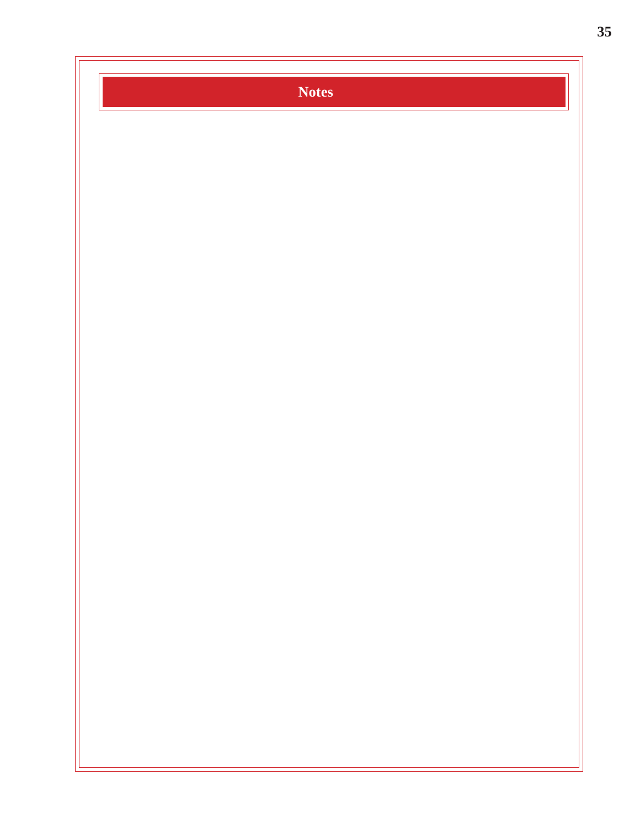![](_page_34_Picture_0.jpeg)